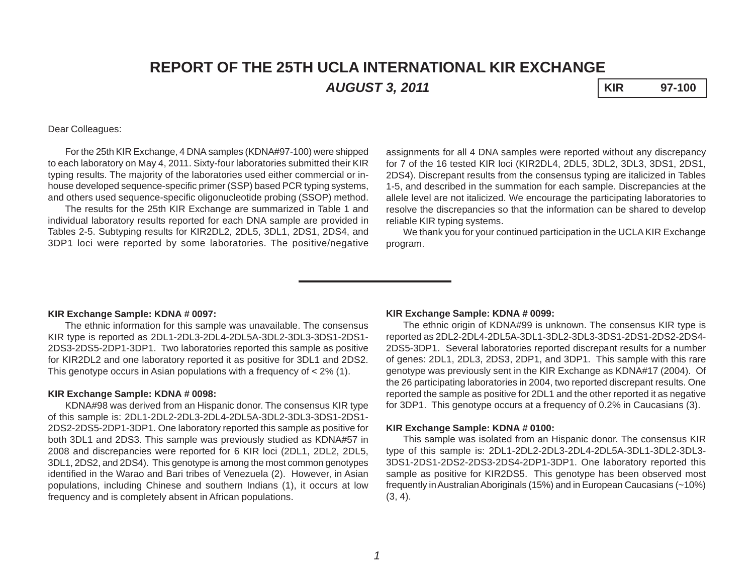# **REPORT OF THE 25TH UCLA INTERNATIONAL KIR EXCHANGE** *AUGUST 3, 2011* **KIR 97-100**

## Dear Colleagues:

For the 25th KIR Exchange, 4 DNA samples (KDNA#97-100) were shipped to each laboratory on May 4, 2011. Sixty-four laboratories submitted their KIR typing results. The majority of the laboratories used either commercial or inhouse developed sequence-specific primer (SSP) based PCR typing systems, and others used sequence-specific oligonucleotide probing (SSOP) method.

The results for the 25th KIR Exchange are summarized in Table 1 and individual laboratory results reported for each DNA sample are provided in Tables 2-5. Subtyping results for KIR2DL2, 2DL5, 3DL1, 2DS1, 2DS4, and 3DP1 loci were reported by some laboratories. The positive/negative

assignments for all 4 DNA samples were reported without any discrepancy for 7 of the 16 tested KIR loci (KIR2DL4, 2DL5, 3DL2, 3DL3, 3DS1, 2DS1, 2DS4). Discrepant results from the consensus typing are italicized in Tables 1-5, and described in the summation for each sample. Discrepancies at the allele level are not italicized. We encourage the participating laboratories to resolve the discrepancies so that the information can be shared to develop reliable KIR typing systems.

We thank you for your continued participation in the UCLA KIR Exchange program.

### **KIR Exchange Sample: KDNA # 0097:**

The ethnic information for this sample was unavailable. The consensus KIR type is reported as 2DL1-2DL3-2DL4-2DL5A-3DL2-3DL3-3DS1-2DS1- 2DS3-2DS5-2DP1-3DP1. Two laboratories reported this sample as positive for KIR2DL2 and one laboratory reported it as positive for 3DL1 and 2DS2. This genotype occurs in Asian populations with a frequency of < 2% (1).

#### **KIR Exchange Sample: KDNA # 0098:**

KDNA#98 was derived from an Hispanic donor. The consensus KIR type of this sample is: 2DL1-2DL2-2DL3-2DL4-2DL5A-3DL2-3DL3-3DS1-2DS1- 2DS2-2DS5-2DP1-3DP1. One laboratory reported this sample as positive for both 3DL1 and 2DS3. This sample was previously studied as KDNA#57 in 2008 and discrepancies were reported for 6 KIR loci (2DL1, 2DL2, 2DL5, 3DL1, 2DS2, and 2DS4). This genotype is among the most common genotypes identified in the Warao and Bari tribes of Venezuela (2). However, in Asian populations, including Chinese and southern Indians (1), it occurs at low frequency and is completely absent in African populations.

#### **KIR Exchange Sample: KDNA # 0099:**

The ethnic origin of KDNA#99 is unknown. The consensus KIR type is reported as 2DL2-2DL4-2DL5A-3DL1-3DL2-3DL3-3DS1-2DS1-2DS2-2DS4- 2DS5-3DP1. Several laboratories reported discrepant results for a number of genes: 2DL1, 2DL3, 2DS3, 2DP1, and 3DP1. This sample with this rare genotype was previously sent in the KIR Exchange as KDNA#17 (2004). Of the 26 participating laboratories in 2004, two reported discrepant results. One reported the sample as positive for 2DL1 and the other reported it as negative for 3DP1. This genotype occurs at a frequency of 0.2% in Caucasians (3).

#### **KIR Exchange Sample: KDNA # 0100:**

This sample was isolated from an Hispanic donor. The consensus KIR type of this sample is: 2DL1-2DL2-2DL3-2DL4-2DL5A-3DL1-3DL2-3DL3- 3DS1-2DS1-2DS2-2DS3-2DS4-2DP1-3DP1. One laboratory reported this sample as positive for KIR2DS5. This genotype has been observed most frequently in Australian Aboriginals (15%) and in European Caucasians (~10%)  $(3, 4)$ .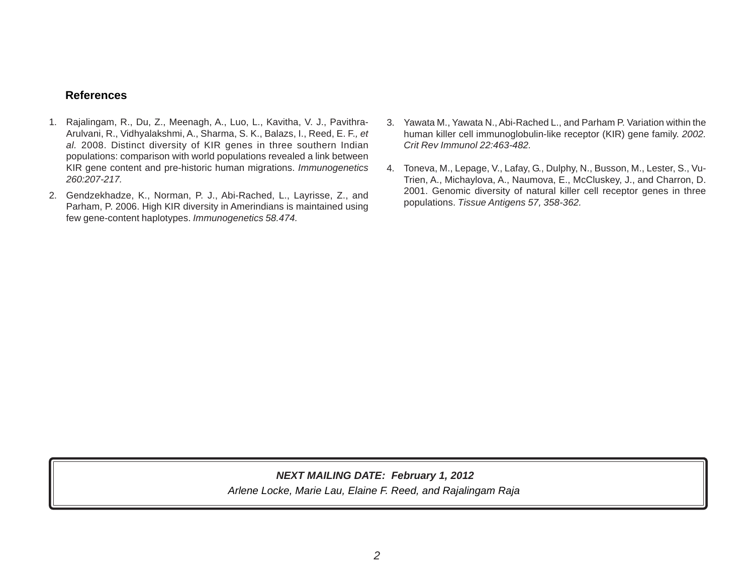# **References**

- 1. Rajalingam, R., Du, Z., Meenagh, A., Luo, L., Kavitha, V. J., Pavithra-Arulvani, R., Vidhyalakshmi, A., Sharma, S. K., Balazs, I., Reed, E. F.*, et al.* 2008. Distinct diversity of KIR genes in three southern Indian populations: comparison with world populations revealed a link between KIR gene content and pre-historic human migrations. *Immunogenetics 260:207-217.*
- 2. Gendzekhadze, K., Norman, P. J., Abi-Rached, L., Layrisse, Z., and Parham, P. 2006. High KIR diversity in Amerindians is maintained using few gene-content haplotypes. *Immunogenetics 58.474.*
- 3. Yawata M., Yawata N., Abi-Rached L., and Parham P. Variation within the human killer cell immunoglobulin-like receptor (KIR) gene family. *2002. Crit Rev Immunol 22:463-482.*
- 4. Toneva, M., Lepage, V., Lafay, G., Dulphy, N., Busson, M., Lester, S., Vu-Trien, A., Michaylova, A., Naumova, E., McCluskey, J., and Charron, D. 2001. Genomic diversity of natural killer cell receptor genes in three populations. *Tissue Antigens 57, 358-362.*

*Arlene Locke, Marie Lau, Elaine F. Reed, and Rajalingam Raja NEXT MAILING DATE: February 1, 2012*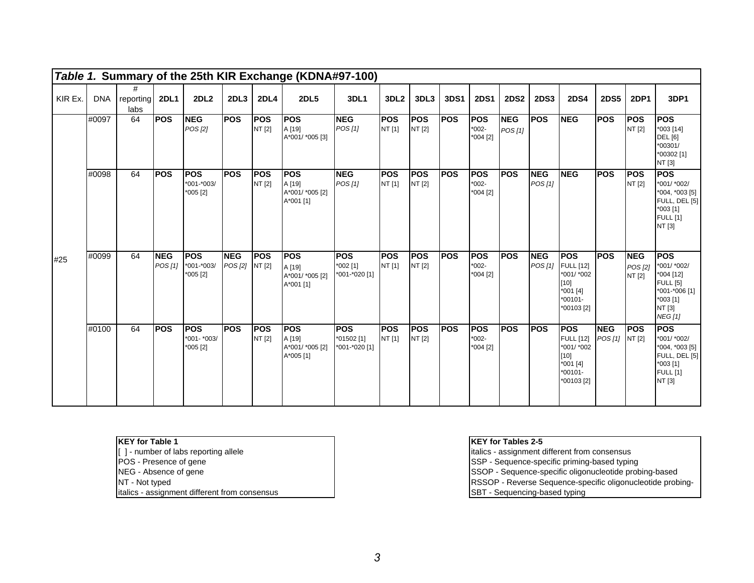|         |       |                            |                       |                                       |                              |                       | Table 1. Summary of the 25th KIR Exchange (KDNA#97-100) |                                           |                      |                       |            |                                    |                       |                       |                                                                                                |                              |                                 |                                                                                                                    |
|---------|-------|----------------------------|-----------------------|---------------------------------------|------------------------------|-----------------------|---------------------------------------------------------|-------------------------------------------|----------------------|-----------------------|------------|------------------------------------|-----------------------|-----------------------|------------------------------------------------------------------------------------------------|------------------------------|---------------------------------|--------------------------------------------------------------------------------------------------------------------|
| KIR Ex. |       | #<br>DNA reporting<br>labs | <b>2DL1</b>           | <b>2DL2</b>                           | 2DL3                         | <b>2DL4</b>           | <b>2DL5</b>                                             | <b>3DL1</b>                               | 3DL <sub>2</sub>     | 3DL3                  | 3DS1       | <b>2DS1</b>                        | <b>2DS2</b>           | <b>2DS3</b>           | <b>2DS4</b>                                                                                    | <b>2DS5</b>                  | <b>2DP1</b>                     | 3DP1                                                                                                               |
|         | #0097 | 64                         | <b>POS</b>            | <b>NEG</b><br>POS [2]                 | <b>POS</b>                   | <b>IPOS</b><br>NT [2] | <b>POS</b><br>A [19]<br>A*001/ *005 [3]                 | <b>NEG</b><br>POS[1]                      | <b>POS</b><br>NT [1] | <b>POS</b><br>NT [2]  | <b>POS</b> | <b>POS</b><br>$*002-$<br>*004 [2]  | <b>NEG</b><br>POS [1] | <b>POS</b>            | <b>NEG</b>                                                                                     | <b>POS</b>                   | <b>POS</b><br>NT [2]            | <b>POS</b><br>$*003$ [14]<br><b>DEL</b> [6]<br>*00301/<br>*00302 [1]<br>NT [3]                                     |
|         | #0098 | 64                         | <b>POS</b>            | <b>POS</b><br>*001-*003/<br>*005 [2]  | <b>POS</b>                   | <b>POS</b><br>NT [2]  | <b>IPOS</b><br>A [19]<br>A*001/ *005 [2]<br>A*001 [1]   | <b>NEG</b><br>POS[1]                      | <b>POS</b><br>NT [1] | <b>POS</b><br>NT [2]  | <b>POS</b> | <b>IPOS</b><br>$*002-$<br>*004 [2] | <b>POS</b>            | <b>NEG</b><br>POS[1]  | <b>NEG</b>                                                                                     | <b>POS</b>                   | <b>IPOS</b><br>NT [2]           | <b>POS</b><br>*001/ *002/<br>*004, *003 [5]<br>FULL, DEL [5]<br>$*003$ [1]<br><b>FULL</b> [1]<br>NT [3]            |
| #25     | #0099 | 64                         | <b>NEG</b><br>POS [1] | <b>POS</b><br>*001-*003/<br>*005 [2]  | <b>NEG</b><br>POS [2] NT [2] | <b>POS</b>            | <b>POS</b><br>A [19]<br>A*001/ *005 [2]<br>A*001 [1]    | <b>POS</b><br>$*002$ [1]<br>*001-*020 [1] | <b>POS</b><br>NT [1] | <b>POS</b><br>NT [2]  | <b>POS</b> | <b>POS</b><br>$*002-$<br>*004 [2]  | <b>POS</b>            | <b>NEG</b><br>POS [1] | <b>POS</b><br><b>FULL [12]</b><br>*001/ *002<br>$[10]$<br>*001 [4]<br>$*00101 -$<br>*00103 [2] | <b>POS</b>                   | <b>NEG</b><br>POS [2]<br>NT [2] | <b>POS</b><br>*001/ *002/<br>*004 [12]<br><b>FULL</b> [5]<br>*001-*006 [1]<br>*003 [1]<br>NT [3]<br><b>NEG</b> [1] |
|         | #0100 | 64                         | <b>IPOS</b>           | <b>POS</b><br>*001- *003/<br>*005 [2] | <b>POS</b>                   | <b>IPOS</b><br>NT [2] | <b>POS</b><br>A [19]<br>A*001/ *005 [2]<br>A*005 [1]    | <b>POS</b><br>*01502 [1]<br>*001-*020 [1] | <b>POS</b><br>NT [1] | <b>IPOS</b><br>NT [2] | <b>POS</b> | <b>POS</b><br>$*002-$<br>*004 [2]  | <b>POS</b>            | <b>POS</b>            | <b>POS</b><br><b>FULL [12]</b><br>*001/ *002<br>$[10]$<br>*001 [4]<br>$*00101 -$<br>*00103 [2] | <b>NEG</b><br>POS [1] NT [2] | <b>POS</b>                      | <b>IPOS</b><br>*001/ *002/<br>*004, *003 [5]<br>FULL, DEL [5]<br>$*003$ [1]<br><b>FULL</b> [1]<br>NT [3]           |

**KEY for Table 1**<br>[ ] - number of labs reporting allele<br>POS - Presence of gene

- 
- 
- 

italics - assignment different from consensus SBT - Sequencing-based typing

# **KEY for Tables 2-5**

italics - assignment different from consensus POS - Presence of gene SSP - Sequence-specific priming-based typing NEG - Absence of gene SSOP - Sequence-specific oligonucleotide probing-based NT - Not typed  $\overline{R}$  - Not typed  $\overline{R}$  -  $\overline{R}$  -  $\overline{R}$   $\overline{R}$   $\overline{R}$   $\overline{S}$   $\overline{S}$   $\overline{C}$   $\overline{R}$   $\overline{S}$   $\overline{S}$   $\overline{C}$   $\overline{C}$   $\overline{S}$   $\overline{C}$   $\overline{C}$   $\overline{C}$   $\overline{C}$   $\overline{C}$   $\overline{C}$   $\$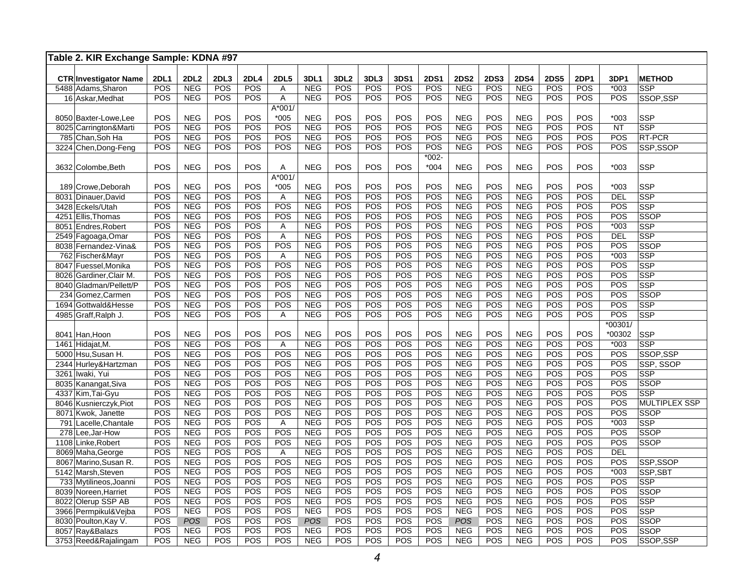| Table 2. KIR Exchange Sample: KDNA #97 |             |             |            |                   |                |            |                  |                   |             |             |             |             |             |             |                   |                |                      |
|----------------------------------------|-------------|-------------|------------|-------------------|----------------|------------|------------------|-------------------|-------------|-------------|-------------|-------------|-------------|-------------|-------------------|----------------|----------------------|
|                                        |             |             |            |                   |                |            |                  |                   |             |             |             |             |             |             |                   |                |                      |
| <b>CTR Investigator Name</b>           | <b>2DL1</b> | <b>2DL2</b> | 2DL3       | <b>2DL4</b>       | <b>2DL5</b>    | 3DL1       | 3DL <sub>2</sub> | 3DL3              | 3DS1<br>POS | <b>2DS1</b> | <b>2DS2</b> | <b>2DS3</b> | <b>2DS4</b> | <b>2DS5</b> | 2DP1              | 3DP1<br>$*003$ | <b>METHOD</b>        |
| 5488 Adams, Sharon                     | POS<br>POS  | <b>NEG</b>  | POS<br>POS | <b>POS</b><br>POS | Α              | <b>NEG</b> | POS<br>POS       | <b>POS</b><br>POS | POS         | POS<br>POS  | <b>NEG</b>  | POS<br>POS  | <b>NEG</b>  | POS         | POS<br><b>POS</b> | POS            | <b>SSP</b>           |
| 16 Askar, Medhat                       |             | <b>NEG</b>  |            |                   | Α<br>A*001/    | <b>NEG</b> |                  |                   |             |             | <b>NEG</b>  |             | <b>NEG</b>  | POS         |                   |                | SSOP, SSP            |
| 8050 Baxter-Lowe, Lee                  | POS         | <b>NEG</b>  | POS        | POS               | $*005$         | <b>NEG</b> | POS              | POS               | POS         | POS         | <b>NEG</b>  | POS         | <b>NEG</b>  | POS         | <b>POS</b>        | $*003$         | SSP                  |
| 8025 Carrington&Marti                  | POS         | <b>NEG</b>  | POS        | POS               | POS            | <b>NEG</b> | POS              | POS               | POS         | POS         | <b>NEG</b>  | POS         | <b>NEG</b>  | POS         | POS               | <b>NT</b>      | <b>SSP</b>           |
| 785 Chan, Soh Ha                       | POS         | <b>NEG</b>  | POS        | POS               | POS            | <b>NEG</b> | POS              | POS               | POS         | POS         | <b>NEG</b>  | POS         | <b>NEG</b>  | POS         | POS               | POS            | RT-PCR               |
| 3224 Chen, Dong-Feng                   | POS         | <b>NEG</b>  | POS        | POS               | POS            | <b>NEG</b> | POS              | POS               | POS         | POS         | <b>NEG</b>  | POS         | <b>NEG</b>  | POS         | POS               | POS            | SSP,SSOP             |
|                                        |             |             |            |                   |                |            |                  |                   |             | $*002-$     |             |             |             |             |                   |                |                      |
| 3632 Colombe, Beth                     | POS         | <b>NEG</b>  | POS        | <b>POS</b>        | Α              | <b>NEG</b> | POS              | POS               | POS         | $*004$      | <b>NEG</b>  | POS         | <b>NEG</b>  | POS         | POS               | $*003$         | <b>SSP</b>           |
|                                        |             |             |            |                   | $A*001/$       |            |                  |                   |             |             |             |             |             |             |                   |                |                      |
| 189 Crowe, Deborah                     | POS         | <b>NEG</b>  | POS        | POS               | $*005$         | <b>NEG</b> | POS              | POS               | POS         | POS         | <b>NEG</b>  | POS         | <b>NEG</b>  | POS         | POS               | $*003$         | <b>SSP</b>           |
| 8031 Dinauer, David                    | POS         | <b>NEG</b>  | POS        | POS               | A              | <b>NEG</b> | POS              | POS               | POS         | POS         | <b>NEG</b>  | POS         | <b>NEG</b>  | POS         | POS               | <b>DEL</b>     | SSP                  |
| 3428 Eckels/Utah                       | POS         | <b>NEG</b>  | POS        | POS               | POS            | <b>NEG</b> | POS              | POS               | POS         | POS         | <b>NEG</b>  | POS         | <b>NEG</b>  | POS         | POS               | POS            | <b>SSP</b>           |
| 4251 Ellis, Thomas                     | POS         | <b>NEG</b>  | POS        | POS               | POS            | <b>NEG</b> | POS              | POS               | POS         | POS         | <b>NEG</b>  | POS         | <b>NEG</b>  | POS         | POS               | POS            | SSOP                 |
| 8051 Endres, Robert                    | POS         | <b>NEG</b>  | POS        | POS               | Α              | <b>NEG</b> | POS              | POS               | POS         | POS         | <b>NEG</b>  | POS         | <b>NEG</b>  | POS         | POS               | $*003$         | SSP                  |
| 2549 Fagoaga, Omar                     | POS         | <b>NEG</b>  | POS        | POS               | $\overline{A}$ | <b>NEG</b> | POS              | POS               | POS         | POS         | <b>NEG</b>  | POS         | <b>NEG</b>  | POS         | POS               | <b>DEL</b>     | SSP                  |
| 8038 Fernandez-Vina&                   | POS         | <b>NEG</b>  | POS        | POS               | POS            | <b>NEG</b> | POS              | POS               | POS         | POS         | <b>NEG</b>  | POS         | <b>NEG</b>  | POS         | POS               | POS            | <b>SSOP</b>          |
| 762 Fischer&Mayr                       | POS         | <b>NEG</b>  | POS        | POS               | A              | <b>NEG</b> | POS              | POS               | POS         | POS         | <b>NEG</b>  | POS         | <b>NEG</b>  | POS         | POS               | $*003$         | <b>SSP</b>           |
| 8047 Fuessel, Monika                   | POS         | <b>NEG</b>  | POS        | POS               | POS            | <b>NEG</b> | POS              | POS               | POS         | POS         | <b>NEG</b>  | POS         | <b>NEG</b>  | POS         | POS               | POS            | <b>SSP</b>           |
| 8026 Gardiner, Clair M.                | POS         | <b>NEG</b>  | POS        | <b>POS</b>        | POS            | <b>NEG</b> | POS              | POS               | POS         | POS         | <b>NEG</b>  | POS         | <b>NEG</b>  | POS         | POS               | POS            | SSP                  |
| 8040 Gladman/Pellett/P                 | POS         | <b>NEG</b>  | POS        | POS               | POS            | <b>NEG</b> | POS              | POS               | POS         | POS         | <b>NEG</b>  | POS         | <b>NEG</b>  | POS         | POS               | POS            | <b>SSP</b>           |
| 234 Gomez, Carmen                      | POS         | <b>NEG</b>  | POS        | POS               | POS            | <b>NEG</b> | POS              | POS               | POS         | POS         | <b>NEG</b>  | POS         | <b>NEG</b>  | POS         | POS               | POS            | SSOP                 |
| 1694 Gottwald&Hesse                    | POS         | <b>NEG</b>  | POS        | POS               | POS            | <b>NEG</b> | POS              | POS               | POS         | POS         | <b>NEG</b>  | POS         | <b>NEG</b>  | POS         | POS               | POS            | <b>SSP</b>           |
| 4985 Graff, Ralph J.                   | POS         | <b>NEG</b>  | POS        | POS               | Α              | <b>NEG</b> | POS              | POS               | POS         | POS         | <b>NEG</b>  | POS         | <b>NEG</b>  | POS         | POS               | POS            | <b>SSP</b>           |
|                                        |             |             |            |                   |                |            |                  |                   |             |             |             |             |             |             |                   | *00301/        |                      |
| 8041 Han, Hoon                         | POS         | <b>NEG</b>  | POS        | POS               | POS            | <b>NEG</b> | POS              | POS               | POS         | POS         | <b>NEG</b>  | POS         | <b>NEG</b>  | POS         | POS               | *00302         | <b>SSP</b>           |
| 1461 Hidajat, M.                       | POS         | <b>NEG</b>  | POS        | POS               | A              | <b>NEG</b> | POS              | POS               | POS         | POS         | <b>NEG</b>  | POS         | <b>NEG</b>  | POS         | POS               | $*003$         | <b>SSP</b>           |
| 5000 Hsu, Susan H.                     | POS         | <b>NEG</b>  | POS        | POS               | POS            | <b>NEG</b> | POS              | POS               | POS         | POS         | <b>NEG</b>  | POS         | <b>NEG</b>  | POS         | POS               | POS            | SSOP,SSP             |
| 2344 Hurley&Hartzman                   | POS         | <b>NEG</b>  | POS        | POS               | POS            | <b>NEG</b> | POS              | POS               | POS         | POS         | <b>NEG</b>  | POS         | <b>NEG</b>  | POS         | POS               | POS            | SSP, SSOP            |
| 3261 Iwaki, Yui                        | POS         | <b>NEG</b>  | POS        | POS               | POS            | <b>NEG</b> | POS              | POS               | POS         | POS         | <b>NEG</b>  | POS         | <b>NEG</b>  | POS         | POS               | POS            | <b>SSP</b>           |
| 8035 Kanangat, Siva                    | POS         | <b>NEG</b>  | POS        | POS               | <b>POS</b>     | <b>NEG</b> | POS              | POS               | POS         | POS         | <b>NEG</b>  | POS         | <b>NEG</b>  | POS         | <b>POS</b>        | POS            | <b>SSOP</b>          |
| 4337 Kim, Tai-Gyu                      | POS         | <b>NEG</b>  | POS        | POS               | POS            | <b>NEG</b> | POS              | POS               | POS         | POS         | <b>NEG</b>  | POS         | <b>NEG</b>  | POS         | POS               | POS            | SSP                  |
| 8046 Kusnierczyk, Piot                 | POS         | <b>NEG</b>  | POS        | POS               | POS            | <b>NEG</b> | POS              | POS               | POS         | POS         | <b>NEG</b>  | POS         | <b>NEG</b>  | POS         | POS               | POS            | <b>MULTIPLEX SSP</b> |
| 8071 Kwok, Janette                     | POS         | <b>NEG</b>  | POS        | POS               | POS            | <b>NEG</b> | POS              | POS               | POS         | POS         | <b>NEG</b>  | POS         | <b>NEG</b>  | POS         | POS               | POS            | <b>SSOP</b>          |
| 791 Lacelle, Chantale                  | POS         | <b>NEG</b>  | POS        | POS               | A              | <b>NEG</b> | POS              | POS               | POS         | POS         | <b>NEG</b>  | POS         | <b>NEG</b>  | POS         | <b>POS</b>        | $*003$         | <b>SSP</b>           |
| 278 Lee, Jar-How                       | POS         | <b>NEG</b>  | POS        | POS               | POS            | <b>NEG</b> | POS              | POS               | POS         | POS         | <b>NEG</b>  | POS         | <b>NEG</b>  | POS         | POS               | POS            | <b>SSOP</b>          |
| 1108 Linke, Robert                     | POS         | <b>NEG</b>  | POS        | POS               | POS            | <b>NEG</b> | POS              | POS               | POS         | POS         | <b>NEG</b>  | POS         | <b>NEG</b>  | POS         | POS               | POS            | <b>SSOP</b>          |
| 8069 Maha, George                      | POS         | <b>NEG</b>  | POS        | POS               | A              | <b>NEG</b> | POS              | POS               | POS         | POS         | <b>NEG</b>  | POS         | <b>NEG</b>  | POS         | POS               | <b>DEL</b>     |                      |
| 8067 Marino, Susan R.                  | POS         | <b>NEG</b>  | POS        | POS               | POS            | <b>NEG</b> | POS              | POS               | POS         | POS         | <b>NEG</b>  | POS         | <b>NEG</b>  | POS         | POS               | POS            | SSP,SSOP             |
| 5142 Marsh, Steven                     | POS         | <b>NEG</b>  | POS        | POS               | POS            | <b>NEG</b> | POS              | POS               | POS         | POS         | <b>NEG</b>  | POS         | <b>NEG</b>  | POS         | POS               | $*003$         | SSP,SBT              |
| 733 Mytilineos, Joanni                 | POS         | <b>NEG</b>  | POS        | POS               | POS            | <b>NEG</b> | POS              | POS               | POS         | POS         | <b>NEG</b>  | POS         | <b>NEG</b>  | POS         | POS               | POS            | <b>SSP</b>           |
| 8039 Noreen, Harriet                   | POS         | <b>NEG</b>  | POS        | POS               | POS            | <b>NEG</b> | POS              | POS               | POS         | POS         | <b>NEG</b>  | POS         | <b>NEG</b>  | POS         | POS               | POS            | SSOP                 |
| 8022 Olerup SSP AB                     | POS         | <b>NEG</b>  | POS        | POS               | POS            | <b>NEG</b> | POS              | POS               | POS         | POS         | <b>NEG</b>  | POS         | <b>NEG</b>  | POS         | POS               | POS            | SSP                  |
| 3966 Permpikul&Vejba                   | POS         | <b>NEG</b>  | POS        | POS               | POS            | <b>NEG</b> | POS              | POS               | POS         | POS         | <b>NEG</b>  | POS         | <b>NEG</b>  | POS         | POS               | POS            | <b>SSP</b>           |
| 8030 Poulton, Kay V.                   | POS         | <b>POS</b>  | POS        | POS               | POS            | POS        | POS              | POS               | POS         | POS         | POS         | POS         | <b>NEG</b>  | POS         | POS               | POS            | SSOP                 |
| 8057 Ray&Balazs                        | POS         | <b>NEG</b>  | POS        | POS               | POS            | <b>NEG</b> | POS              | POS               | POS         | POS         | <b>NEG</b>  | POS         | <b>NEG</b>  | POS         | POS               | POS            | <b>SSOP</b>          |
| 3753 Reed&Rajalingam                   | POS         | <b>NEG</b>  | POS        | POS               | POS            | <b>NEG</b> | POS              | POS               | POS         | POS         | <b>NEG</b>  | POS         | <b>NEG</b>  | POS         | POS               | POS            | SSOP,SSP             |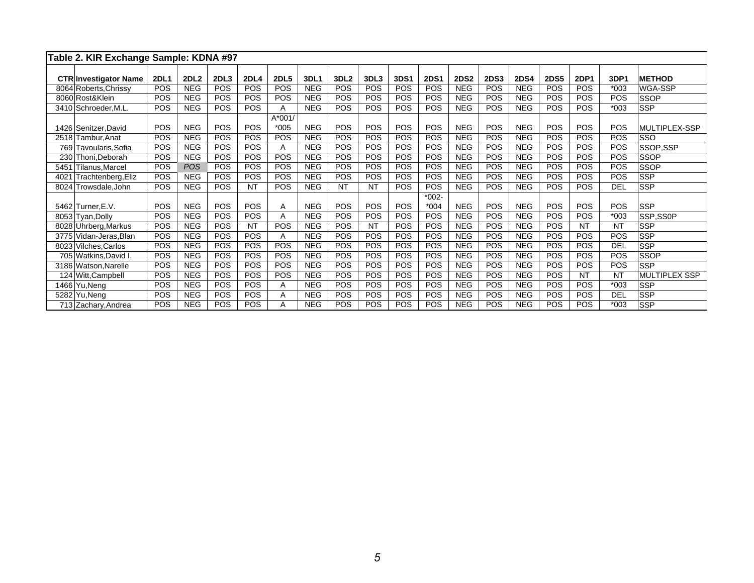|      | Table 2. KIR Exchange Sample: KDNA #97 |             |                  |            |             |             |            |                  |            |            |             |             |             |             |             |            |            |                      |
|------|----------------------------------------|-------------|------------------|------------|-------------|-------------|------------|------------------|------------|------------|-------------|-------------|-------------|-------------|-------------|------------|------------|----------------------|
|      |                                        |             |                  |            |             |             |            |                  |            |            |             |             |             |             |             |            |            |                      |
|      | <b>CTR Investigator Name</b>           | <b>2DL1</b> | 2DL <sub>2</sub> | 2DL3       | <b>2DL4</b> | <b>2DL5</b> | 3DL1       | 3DL <sub>2</sub> | 3DL3       | 3DS1       | <b>2DS1</b> | <b>2DS2</b> | <b>2DS3</b> | <b>2DS4</b> | <b>2DS5</b> | 2DP1       | 3DP1       | <b>METHOD</b>        |
|      | 8064 Roberts, Chrissy                  | POS         | <b>NEG</b>       | POS        | POS         | <b>POS</b>  | <b>NEG</b> | POS              | <b>POS</b> | POS        | <b>POS</b>  | <b>NEG</b>  | POS         | <b>NEG</b>  | POS         | <b>POS</b> | $*003$     | WGA-SSP              |
|      | 8060 Rost&Klein                        | POS         | <b>NEG</b>       | POS        | POS         | <b>POS</b>  | <b>NEG</b> | POS              | <b>POS</b> | POS        | <b>POS</b>  | <b>NEG</b>  | POS         | <b>NEG</b>  | POS         | <b>POS</b> | POS        | <b>SSOP</b>          |
|      | 3410 Schroeder, M.L.                   | <b>POS</b>  | <b>NEG</b>       | POS        | POS         | A           | <b>NEG</b> | POS              | <b>POS</b> | <b>POS</b> | <b>POS</b>  | <b>NEG</b>  | <b>POS</b>  | <b>NEG</b>  | POS         | <b>POS</b> | $*003$     | <b>SSP</b>           |
|      |                                        |             |                  |            |             | A*001/      |            |                  |            |            |             |             |             |             |             |            |            |                      |
|      | 1426 Senitzer David                    | POS         | <b>NEG</b>       | POS        | POS         | $*005$      | <b>NEG</b> | POS              | <b>POS</b> | POS        | <b>POS</b>  | <b>NEG</b>  | <b>POS</b>  | <b>NEG</b>  | POS         | <b>POS</b> | POS        | MULTIPLEX-SSP        |
|      | 2518 Tambur.Anat                       | POS         | <b>NEG</b>       | POS        | POS         | <b>POS</b>  | <b>NEG</b> | POS              | <b>POS</b> | POS        | <b>POS</b>  | <b>NEG</b>  | <b>POS</b>  | <b>NEG</b>  | <b>POS</b>  | <b>POS</b> | <b>POS</b> | SSO                  |
| 769  | Tavoularis, Sofia                      | POS         | <b>NEG</b>       | POS        | POS         | A           | <b>NEG</b> | POS              | POS        | POS        | <b>POS</b>  | <b>NEG</b>  | POS         | <b>NEG</b>  | <b>POS</b>  | <b>POS</b> | POS        | SSOP,SSP             |
|      | 230 Thoni, Deborah                     | POS         | <b>NEG</b>       | POS        | POS         | <b>POS</b>  | <b>NEG</b> | POS              | POS        | POS        | POS         | <b>NEG</b>  | POS         | <b>NEG</b>  | <b>POS</b>  | <b>POS</b> | POS        | <b>SSOP</b>          |
| 5451 | Tilanus, Marcel                        | POS         | <b>POS</b>       | POS        | POS         | <b>POS</b>  | <b>NEG</b> | <b>POS</b>       | POS        | <b>POS</b> | <b>POS</b>  | <b>NEG</b>  | <b>POS</b>  | <b>NEG</b>  | <b>POS</b>  | <b>POS</b> | POS        | <b>SSOP</b>          |
| 4021 | Trachtenberg, Eliz                     | POS         | <b>NEG</b>       | POS        | <b>POS</b>  | <b>POS</b>  | <b>NEG</b> | POS              | <b>POS</b> | <b>POS</b> | <b>POS</b>  | <b>NEG</b>  | <b>POS</b>  | <b>NEG</b>  | <b>POS</b>  | <b>POS</b> | POS        | <b>SSP</b>           |
|      | 8024 Trowsdale, John                   | POS         | <b>NEG</b>       | <b>POS</b> | <b>NT</b>   | <b>POS</b>  | <b>NEG</b> | <b>NT</b>        | <b>NT</b>  | <b>POS</b> | <b>POS</b>  | <b>NEG</b>  | <b>POS</b>  | <b>NEG</b>  | <b>POS</b>  | <b>POS</b> | <b>DEL</b> | <b>SSP</b>           |
|      |                                        |             |                  |            |             |             |            |                  |            |            | $*002-$     |             |             |             |             |            |            |                      |
|      | 5462 Turner, E.V.                      | POS         | <b>NEG</b>       | POS        | POS         | A           | <b>NEG</b> | POS              | POS        | <b>POS</b> | $*004$      | <b>NEG</b>  | POS         | <b>NEG</b>  | POS         | <b>POS</b> | POS        | <b>SSP</b>           |
|      | 8053 Tyan, Dolly                       | <b>POS</b>  | <b>NEG</b>       | POS        | POS         | A           | <b>NEG</b> | POS              | POS        | <b>POS</b> | POS         | <b>NEG</b>  | POS         | <b>NEG</b>  | <b>POS</b>  | <b>POS</b> | $*003$     | SSP,SS0P             |
|      | 8028 Uhrberg, Markus                   | <b>POS</b>  | <b>NEG</b>       | <b>POS</b> | <b>NT</b>   | <b>POS</b>  | <b>NEG</b> | POS              | <b>NT</b>  | <b>POS</b> | <b>POS</b>  | <b>NEG</b>  | POS         | <b>NEG</b>  | <b>POS</b>  | <b>NT</b>  | <b>NT</b>  | <b>SSP</b>           |
|      | 3775 Vidan-Jeras, Blan                 | <b>POS</b>  | <b>NEG</b>       | POS        | POS         | A           | <b>NEG</b> | POS              | POS        | <b>POS</b> | <b>POS</b>  | <b>NEG</b>  | <b>POS</b>  | <b>NEG</b>  | <b>POS</b>  | <b>POS</b> | POS        | <b>SSP</b>           |
|      | 8023 Vilches, Carlos                   | POS         | <b>NEG</b>       | POS        | POS         | <b>POS</b>  | <b>NEG</b> | <b>POS</b>       | <b>POS</b> | POS        | <b>POS</b>  | <b>NEG</b>  | POS         | <b>NEG</b>  | <b>POS</b>  | <b>POS</b> | <b>DEL</b> | <b>SSP</b>           |
|      | 705 Watkins, David I.                  | POS         | <b>NEG</b>       | POS        | <b>POS</b>  | <b>POS</b>  | <b>NEG</b> | <b>POS</b>       | <b>POS</b> | <b>POS</b> | <b>POS</b>  | <b>NEG</b>  | <b>POS</b>  | <b>NEG</b>  | <b>POS</b>  | <b>POS</b> | POS        | <b>SSOP</b>          |
|      | 3186 Watson, Narelle                   | <b>POS</b>  | <b>NEG</b>       | POS        | <b>POS</b>  | <b>POS</b>  | <b>NEG</b> | <b>POS</b>       | POS        | POS        | <b>POS</b>  | <b>NEG</b>  | POS         | <b>NEG</b>  | POS         | <b>POS</b> | POS        | <b>SSP</b>           |
|      | 124 Witt, Campbell                     | <b>POS</b>  | <b>NEG</b>       | <b>POS</b> | <b>POS</b>  | <b>POS</b>  | <b>NEG</b> | <b>POS</b>       | <b>POS</b> | POS        | <b>POS</b>  | <b>NEG</b>  | POS         | <b>NEG</b>  | POS         | <b>NT</b>  | <b>NT</b>  | <b>MULTIPLEX SSP</b> |
|      | 1466 Yu, Neng                          | POS         | <b>NEG</b>       | POS        | POS         | A           | <b>NEG</b> | POS              | POS        | <b>POS</b> | <b>POS</b>  | <b>NEG</b>  | <b>POS</b>  | <b>NEG</b>  | <b>POS</b>  | <b>POS</b> | $*003$     | <b>SSP</b>           |
|      | 5282 Yu, Neng                          | POS         | <b>NEG</b>       | POS        | <b>POS</b>  | A           | <b>NEG</b> | POS              | <b>POS</b> | POS        | <b>POS</b>  | <b>NEG</b>  | POS         | <b>NEG</b>  | <b>POS</b>  | <b>POS</b> | <b>DEL</b> | <b>SSP</b>           |
|      | 713 Zachary, Andrea                    | POS         | <b>NEG</b>       | <b>POS</b> | <b>POS</b>  |             | <b>NEG</b> | POS              | <b>POS</b> | POS        | <b>POS</b>  | <b>NEG</b>  | POS         | <b>NEG</b>  | <b>POS</b>  | <b>POS</b> | $*003$     | <b>SSP</b>           |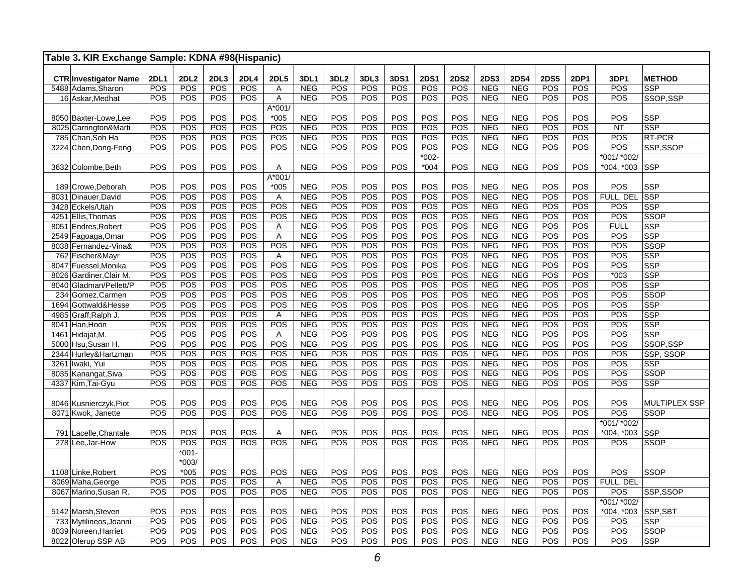| Table 3. KIR Exchange Sample: KDNA #98(Hispanic)   |                    |                    |                    |             |                  |                           |                         |             |             |                    |                    |                           |                           |                    |             |              |                              |
|----------------------------------------------------|--------------------|--------------------|--------------------|-------------|------------------|---------------------------|-------------------------|-------------|-------------|--------------------|--------------------|---------------------------|---------------------------|--------------------|-------------|--------------|------------------------------|
|                                                    |                    |                    |                    |             |                  |                           |                         |             |             |                    |                    |                           |                           |                    |             |              |                              |
| <b>CTR Investigator Name</b><br>5488 Adams, Sharon | <b>2DL1</b><br>POS | <b>2DL2</b><br>POS | 2DL3<br><b>POS</b> | 2DL4<br>POS | <b>2DL5</b><br>Α | <b>3DL1</b><br><b>NEG</b> | 3DL <sub>2</sub><br>POS | 3DL3<br>POS | 3DS1<br>POS | <b>2DS1</b><br>POS | <b>2DS2</b><br>POS | <b>2DS3</b><br><b>NEG</b> | <b>2DS4</b><br><b>NEG</b> | <b>2DS5</b><br>POS | 2DP1<br>POS | 3DP1<br>POS  | <b>METHOD</b><br><b>SSP</b>  |
| 16 Askar, Medhat                                   | POS                | POS                | POS                | POS         | $\overline{A}$   | <b>NEG</b>                | POS                     | POS         | POS         | POS                | POS                | <b>NEG</b>                | <b>NEG</b>                | POS                | POS         | POS          | SSOP, SSP                    |
|                                                    |                    |                    |                    |             | $A*001/$         |                           |                         |             |             |                    |                    |                           |                           |                    |             |              |                              |
| 8050 Baxter-Lowe, Lee                              | POS                | POS                | POS                | POS         | $*005$           | <b>NEG</b>                | POS                     | POS         | POS         | POS                | POS                | <b>NEG</b>                | <b>NEG</b>                | POS                | POS         | POS          | <b>SSP</b>                   |
| 8025 Carrington&Marti                              | POS                | POS                | POS                | POS         | POS              | <b>NEG</b>                | POS                     | POS         | POS         | POS                | POS                | <b>NEG</b>                | <b>NEG</b>                | POS                | POS         | <b>NT</b>    | <b>SSP</b>                   |
| 785 Chan, Soh Ha                                   | POS                | POS                | POS                | POS         | POS              | <b>NEG</b>                | POS                     | POS         | POS         | POS                | POS                | <b>NEG</b>                | <b>NEG</b>                | <b>POS</b>         | POS         | POS          | RT-PCR                       |
| 3224 Chen, Dong-Feng                               | POS                | POS                | POS                | POS         | POS              | <b>NEG</b>                | POS                     | POS         | POS         | POS                | POS                | <b>NEG</b>                | <b>NEG</b>                | POS                | POS         | POS          | SSP.SSOP                     |
|                                                    |                    |                    |                    |             |                  |                           |                         |             |             | $*002-$            |                    |                           |                           |                    |             | *001/ *002/  |                              |
| 3632 Colombe.Beth                                  | POS                | POS                | POS                | POS         | Α                | <b>NEG</b>                | POS                     | POS         | POS         | $*004$             | POS                | <b>NEG</b>                | <b>NEG</b>                | POS                | POS         | $*004, *003$ | <b>SSP</b>                   |
|                                                    |                    |                    |                    |             | $A*001/$         |                           |                         |             |             |                    |                    |                           |                           |                    |             |              |                              |
| 189 Crowe, Deborah                                 | POS                | POS                | POS                | POS         | $*005$           | <b>NEG</b>                | POS                     | POS         | POS         | POS                | POS                | <b>NEG</b>                | <b>NEG</b>                | POS                | POS         | POS          | <b>SSP</b>                   |
| 8031 Dinauer, David                                | POS                | POS                | POS                | POS         | A                | <b>NEG</b>                | POS                     | POS         | POS         | POS                | POS                | <b>NEG</b>                | <b>NEG</b>                | POS                | POS         | FULL, DEL    | <b>SSP</b>                   |
| 3428 Eckels/Utah                                   | POS                | POS                | POS                | POS         | POS              | <b>NEG</b>                | POS                     | POS         | POS         | POS                | POS                | <b>NEG</b>                | <b>NEG</b>                | POS                | POS         | POS          | <b>SSP</b>                   |
| 4251 Ellis, Thomas                                 | POS                | POS                | POS                | POS         | POS              | <b>NEG</b>                | POS                     | POS         | POS         | POS                | POS                | <b>NEG</b>                | <b>NEG</b>                | POS                | POS         | POS          | <b>SSOP</b>                  |
| 8051 Endres, Robert                                | POS                | POS                | POS                | POS         | Α                | <b>NEG</b>                | POS                     | POS         | POS         | POS                | POS                | <b>NEG</b>                | <b>NEG</b>                | POS                | POS         | <b>FULL</b>  | <b>SSP</b>                   |
| 2549 Fagoaga, Omar                                 | POS                | POS                | POS                | POS         | A                | <b>NEG</b>                | POS                     | POS         | POS         | POS                | POS                | <b>NEG</b>                | <b>NEG</b>                | POS                | POS         | POS          | <b>SSP</b>                   |
| 8038 Fernandez-Vina&                               | POS                | POS                | POS                | POS         | POS              | <b>NEG</b>                | POS                     | POS         | POS         | POS                | POS                | <b>NEG</b>                | <b>NEG</b>                | POS                | POS         | POS          | <b>SSOP</b>                  |
| 762 Fischer&Mayr                                   | POS                | POS                | POS                | POS         | A                | <b>NEG</b>                | POS                     | POS         | POS         | POS                | POS                | <b>NEG</b>                | <b>NEG</b>                | POS                | POS         | POS          | <b>SSP</b>                   |
| 8047 Fuessel, Monika                               | POS                | POS                | POS                | POS         | POS              | <b>NEG</b>                | POS                     | POS         | POS         | POS                | POS                | <b>NEG</b>                | <b>NEG</b>                | POS                | POS         | POS          | <b>SSP</b>                   |
| 8026 Gardiner, Clair M.                            | POS                | POS                | POS                | POS         | POS              | <b>NEG</b>                | POS                     | POS         | POS         | POS                | POS                | <b>NEG</b>                | <b>NEG</b>                | POS                | POS         | $*003$       | <b>SSP</b>                   |
| 8040 Gladman/Pellett/P                             | POS                | POS                | POS                | POS         | POS              | <b>NEG</b>                | POS                     | POS         | POS         | POS                | POS                | <b>NEG</b>                | <b>NEG</b>                | POS                | POS         | POS          | <b>SSP</b>                   |
| 234 Gomez, Carmen                                  | POS                | POS                | POS                | POS         | POS              | <b>NEG</b>                | POS                     | POS         | POS         | POS                | POS                | <b>NEG</b>                | <b>NEG</b>                | POS                | POS         | POS          | <b>SSOP</b>                  |
| 1694 Gottwald&Hesse                                | POS                | POS                | POS                | POS         | POS              | <b>NEG</b>                | POS                     | POS         | POS         | POS                | POS                | <b>NEG</b>                | <b>NEG</b>                | POS                | POS         | POS          | <b>SSP</b>                   |
| 4985 Graff, Ralph J.                               | POS                | POS                | POS                | POS         | Α                | <b>NEG</b>                | POS                     | POS         | POS         | POS                | POS                | <b>NEG</b>                | <b>NEG</b>                | POS                | POS         | POS          | <b>SSP</b>                   |
| 8041 Han.Hoon                                      | POS                | POS                | POS                | POS         | POS              | <b>NEG</b>                | POS                     | POS         | POS         | POS                | POS                | <b>NEG</b>                | <b>NEG</b>                | POS                | POS         | POS          | <b>SSP</b>                   |
| 1461 Hidajat, M.                                   | POS                | POS                | POS                | POS         | $\overline{A}$   | <b>NEG</b>                | POS                     | POS         | POS         | POS                | POS                | <b>NEG</b>                | <b>NEG</b>                | POS                | POS         | POS          | SSP                          |
| 5000 Hsu, Susan H.                                 | POS                | POS                | POS                | POS         | POS              | <b>NEG</b>                | POS                     | POS         | POS         | POS                | POS                | <b>NEG</b>                | <b>NEG</b>                | POS                | POS         | POS          | SSOP,SSP                     |
| 2344 Hurley& Hartzman                              | POS                | POS                | <b>POS</b>         | POS         | POS              | <b>NEG</b>                | <b>POS</b>              | POS         | POS         | <b>POS</b>         | <b>POS</b>         | <b>NEG</b>                | <b>NEG</b>                | POS                | POS         | POS          | SSP, SSOP                    |
| 3261 Iwaki, Yui                                    | POS                | POS                | POS                | POS         | POS              | <b>NEG</b>                | POS                     | POS         | POS         | POS                | <b>POS</b>         | <b>NEG</b>                | <b>NEG</b>                | POS                | POS         | POS          | <b>SSP</b>                   |
| 8035 Kanangat, Siva                                | POS                | POS                | POS                | POS         | POS              | <b>NEG</b>                | POS                     | POS         | POS         | POS                | POS                | <b>NEG</b>                | <b>NEG</b>                | POS                | POS         | POS          | <b>SSOP</b>                  |
| 4337 Kim, Tai-Gyu                                  | POS                | POS                | POS                | POS         | POS              | <b>NEG</b>                | POS                     | POS         | POS         | POS                | POS                | <b>NEG</b>                | <b>NEG</b>                | POS                | POS         | POS          | <b>SSP</b>                   |
|                                                    | POS                | POS                | POS                | POS         | POS              |                           | POS                     | POS         | POS         | POS                | POS                | <b>NEG</b>                | <b>NEG</b>                | POS                | POS         | POS          |                              |
| 8046 Kusnierczyk, Piot<br>8071 Kwok, Janette       | POS                | POS                | POS                | POS         | POS              | <b>NEG</b><br><b>NEG</b>  | POS                     | POS         | POS         | POS                | POS                | <b>NEG</b>                | <b>NEG</b>                | POS                | POS         | POS          | MULTIPLEX SSP<br><b>SSOP</b> |
|                                                    |                    |                    |                    |             |                  |                           |                         |             |             |                    |                    |                           |                           |                    |             | *001/ *002/  |                              |
|                                                    | POS                | POS                | POS                | POS         | Α                | <b>NEG</b>                | POS                     | POS         | POS         | POS                | POS                | <b>NEG</b>                | <b>NEG</b>                | POS                | POS         | *004, *003   | <b>SSP</b>                   |
| 791 Lacelle, Chantale<br>278 Lee, Jar-How          | POS                | POS                | POS                | POS         | POS              | <b>NEG</b>                | POS                     | POS         | POS         | POS                | POS                | <b>NEG</b>                | <b>NEG</b>                | POS                | POS         | POS          | <b>SSOP</b>                  |
|                                                    |                    | $*001 -$           |                    |             |                  |                           |                         |             |             |                    |                    |                           |                           |                    |             |              |                              |
|                                                    |                    | $*003/$            |                    |             |                  |                           |                         |             |             |                    |                    |                           |                           |                    |             |              |                              |
| 1108 Linke, Robert                                 | POS                | $*005$             | POS                | POS         | POS              | <b>NEG</b>                | POS                     | POS         | POS         | POS                | POS                | <b>NEG</b>                | <b>NEG</b>                | POS                | POS         | POS          | <b>SSOP</b>                  |
| 8069 Maha, George                                  | POS                | POS                | POS                | POS         | $\overline{A}$   | <b>NEG</b>                | POS                     | POS         | POS         | POS                | POS                | <b>NEG</b>                | <b>NEG</b>                | POS                | POS         | FULL, DEL    |                              |
| 8067 Marino, Susan R.                              | POS                | POS                | POS                | POS         | POS              | <b>NEG</b>                | POS                     | POS         | POS         | POS                | POS                | <b>NEG</b>                | <b>NEG</b>                | POS                | POS         | POS          | SSP, SSOP                    |
|                                                    |                    |                    |                    |             |                  |                           |                         |             |             |                    |                    |                           |                           |                    |             | *001/ *002/  |                              |
| 5142 Marsh, Steven                                 | POS                | POS                | POS                | POS         | POS              | <b>NEG</b>                | POS                     | POS         | POS         | POS                | POS                | <b>NEG</b>                | <b>NEG</b>                | POS                | POS         | $*004, *003$ | SSP, SBT                     |
| 733 Mytilineos, Joanni                             | POS                | POS                | POS                | POS         | POS              | <b>NEG</b>                | <b>POS</b>              | POS         | <b>POS</b>  | <b>POS</b>         | POS                | <b>NEG</b>                | <b>NEG</b>                | POS                | POS         | <b>POS</b>   | <b>SSP</b>                   |
| 8039 Noreen, Harriet                               | POS                | POS                | POS                | POS         | POS              | <b>NEG</b>                | POS                     | POS         | POS         | POS                | POS                | <b>NEG</b>                | <b>NEG</b>                | POS                | POS         | POS          | <b>SSOP</b>                  |
| 8022 Olerup SSP AB                                 | POS                | POS                | POS                | POS         | POS              | <b>NEG</b>                | POS                     | POS         | POS         | POS                | POS                | <b>NEG</b>                | <b>NEG</b>                | POS                | POS         | POS          | <b>SSP</b>                   |
|                                                    |                    |                    |                    |             |                  |                           |                         |             |             |                    |                    |                           |                           |                    |             |              |                              |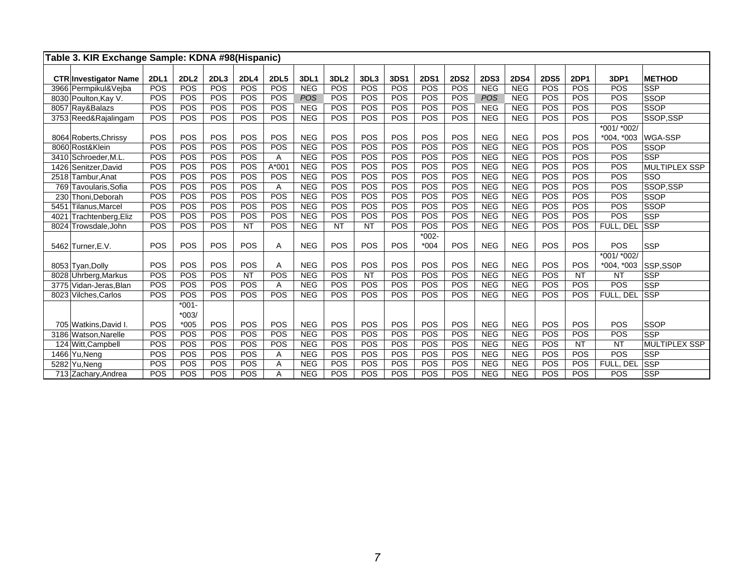|      | Table 3. KIR Exchange Sample: KDNA #98(Hispanic) |             |             |            |             |             |            |                  |            |      |             |             |             |             |             |             |              |                      |
|------|--------------------------------------------------|-------------|-------------|------------|-------------|-------------|------------|------------------|------------|------|-------------|-------------|-------------|-------------|-------------|-------------|--------------|----------------------|
|      |                                                  |             |             |            |             |             |            |                  |            |      |             |             |             |             |             |             |              |                      |
|      | <b>CTR Investigator Name</b>                     | <b>2DL1</b> | <b>2DL2</b> | 2DL3       | <b>2DL4</b> | <b>2DL5</b> | 3DL1       | 3DL <sub>2</sub> | 3DL3       | 3DS1 | <b>2DS1</b> | <b>2DS2</b> | <b>2DS3</b> | <b>2DS4</b> | <b>2DS5</b> | <b>2DP1</b> | 3DP1         | <b>METHOD</b>        |
|      | 3966 Permpikul&Vejba                             | POS         | POS         | POS        | POS         | POS         | <b>NEG</b> | POS              | POS        | POS  | <b>POS</b>  | POS         | <b>NEG</b>  | <b>NEG</b>  | POS         | POS         | POS          | <b>SSP</b>           |
|      | 8030 Poulton, Kay V.                             | POS         | POS         | POS        | POS         | POS         | <b>POS</b> | POS              | POS        | POS  | POS         | POS         | POS         | <b>NEG</b>  | POS         | POS         | POS          | <b>SSOP</b>          |
|      | 8057 Ray&Balazs                                  | POS         | POS         | <b>POS</b> | POS         | POS         | <b>NEG</b> | POS              | <b>POS</b> | POS  | POS         | POS         | <b>NEG</b>  | <b>NEG</b>  | <b>POS</b>  | POS         | <b>POS</b>   | <b>SSOP</b>          |
|      | 3753 Reed&Rajalingam                             | POS         | <b>POS</b>  | POS        | POS         | POS         | <b>NEG</b> | POS              | POS        | POS  | <b>POS</b>  | POS         | <b>NEG</b>  | <b>NEG</b>  | <b>POS</b>  | POS         | POS          | SSOP.SSP             |
|      |                                                  |             |             |            |             |             |            |                  |            |      |             |             |             |             |             |             | *001/ *002/  |                      |
|      | 8064 Roberts, Chrissy                            | <b>POS</b>  | POS         | POS        | POS         | POS         | <b>NEG</b> | POS              | POS        | POS  | <b>POS</b>  | POS         | <b>NEG</b>  | <b>NEG</b>  | <b>POS</b>  | POS         | $*004, *003$ | WGA-SSP              |
|      | 8060 Rost&Klein                                  | <b>POS</b>  | POS         | POS        | POS         | POS         | <b>NEG</b> | POS              | POS        | POS  | POS         | POS         | <b>NEG</b>  | <b>NEG</b>  | POS         | POS         | POS          | <b>SSOP</b>          |
|      | 3410 Schroeder, M.L                              | POS         | POS         | POS        | POS         | Α           | <b>NEG</b> | POS              | POS        | POS  | POS         | POS         | <b>NEG</b>  | <b>NEG</b>  | POS         | POS         | <b>POS</b>   | <b>SSP</b>           |
|      | 1426 Senitzer David                              | POS         | POS         | POS        | POS         | $A*001$     | <b>NEG</b> | POS              | POS        | POS  | POS         | POS         | <b>NEG</b>  | <b>NEG</b>  | POS         | POS         | POS          | <b>MULTIPLEX SSP</b> |
|      | 2518 Tambur, Anat                                | POS         | POS         | POS        | POS         | POS         | <b>NEG</b> | POS              | POS        | POS  | POS         | POS         | <b>NEG</b>  | <b>NEG</b>  | POS         | POS         | POS          | SSO                  |
|      | 769 Tavoularis, Sofia                            | POS         | POS         | POS        | POS         | Α           | <b>NEG</b> | POS              | POS        | POS  | POS         | POS         | <b>NEG</b>  | <b>NEG</b>  | POS         | POS         | POS          | SSOP.SSP             |
|      | 230 Thoni, Deborah                               | POS         | POS         | POS        | POS         | POS         | <b>NEG</b> | POS              | POS        | POS  | POS         | POS         | <b>NEG</b>  | <b>NEG</b>  | POS         | POS         | POS          | <b>SSOP</b>          |
|      | 5451 Tilanus, Marcel                             | POS         | POS         | POS        | POS         | POS         | <b>NEG</b> | POS              | POS        | POS  | POS         | POS         | <b>NEG</b>  | <b>NEG</b>  | POS         | POS         | POS          | <b>SSOP</b>          |
| 4021 | Trachtenberg, Eliz                               | POS         | POS         | POS        | POS         | POS         | <b>NEG</b> | POS              | POS        | POS  | POS         | POS         | <b>NEG</b>  | <b>NEG</b>  | POS         | POS         | <b>POS</b>   | <b>SSP</b>           |
|      | 8024 Trowsdale, John                             | POS         | <b>POS</b>  | POS        | <b>NT</b>   | POS         | <b>NEG</b> | <b>NT</b>        | <b>NT</b>  | POS  | POS         | POS         | <b>NEG</b>  | <b>NEG</b>  | POS         | POS         | FULL, DEL    | <b>SSP</b>           |
|      |                                                  |             |             |            |             |             |            |                  |            |      | $*002-$     |             |             |             |             |             |              |                      |
|      | 5462 Turner.E.V.                                 | POS         | POS         | POS        | POS         | A           | <b>NEG</b> | POS              | POS        | POS  | $*004$      | POS         | <b>NEG</b>  | <b>NEG</b>  | POS         | POS         | POS          | <b>SSP</b>           |
|      |                                                  |             |             |            |             |             |            |                  |            |      |             |             |             |             |             |             | $*001/*002/$ |                      |
|      | 8053 Tyan, Dolly                                 | POS         | POS         | POS        | POS         | Α           | <b>NEG</b> | POS              | POS        | POS  | POS         | POS         | <b>NEG</b>  | <b>NEG</b>  | <b>POS</b>  | POS         | $*004, *003$ | SSP,SS0P             |
|      | 8028 Uhrberg, Markus                             | POS         | POS         | POS        | <b>NT</b>   | POS         | <b>NEG</b> | POS              | <b>NT</b>  | POS  | POS         | POS         | <b>NEG</b>  | <b>NEG</b>  | POS         | <b>NT</b>   | <b>NT</b>    | <b>SSP</b>           |
|      | 3775 Vidan-Jeras, Blan                           | POS         | POS         | POS        | POS         | Α           | <b>NEG</b> | POS              | POS        | POS  | POS         | POS         | <b>NEG</b>  | <b>NEG</b>  | POS         | POS         | POS          | <b>SSP</b>           |
|      | 8023 Vilches, Carlos                             | POS         | POS         | POS        | POS         | POS         | <b>NEG</b> | POS              | POS        | POS  | POS         | POS         | <b>NEG</b>  | <b>NEG</b>  | POS         | POS         | FULL, DEL    | <b>SSP</b>           |
|      |                                                  |             | $*001-$     |            |             |             |            |                  |            |      |             |             |             |             |             |             |              |                      |
|      |                                                  |             | $*003/$     |            |             |             |            |                  |            |      |             |             |             |             |             |             |              |                      |
|      | 705 Watkins, David I.                            | <b>POS</b>  | $*005$      | POS        | POS         | POS         | <b>NEG</b> | POS              | POS        | POS  | <b>POS</b>  | POS         | <b>NEG</b>  | <b>NEG</b>  | POS         | POS         | POS          | <b>SSOP</b>          |
|      | 3186 Watson, Narelle                             | POS         | POS         | POS        | POS         | POS         | <b>NEG</b> | POS              | POS        | POS  | POS         | POS         | <b>NEG</b>  | <b>NEG</b>  | POS         | POS         | POS          | <b>SSP</b>           |
|      | 124 Witt.Campbell                                | POS         | POS         | POS        | POS         | POS         | <b>NEG</b> | POS              | POS        | POS  | POS         | POS         | <b>NEG</b>  | <b>NEG</b>  | POS         | <b>NT</b>   | <b>NT</b>    | <b>MULTIPLEX SSP</b> |
|      | 1466 Yu.Nena                                     | POS         | POS         | POS        | POS         | A           | <b>NEG</b> | POS              | POS        | POS  | POS         | POS         | <b>NEG</b>  | <b>NEG</b>  | POS         | POS         | POS          | <b>SSP</b>           |
|      | 5282 Yu, Neng                                    | POS         | POS         | POS        | POS         | Α           | <b>NEG</b> | POS              | POS        | POS  | POS         | POS         | <b>NEG</b>  | <b>NEG</b>  | POS         | POS         | FULL. DEL    | <b>SSP</b>           |
|      | 713 Zachary, Andrea                              | POS         | POS         | POS        | POS         | Α           | <b>NEG</b> | POS              | POS        | POS  | POS         | POS         | <b>NEG</b>  | <b>NEG</b>  | POS         | POS         | POS          | <b>SSP</b>           |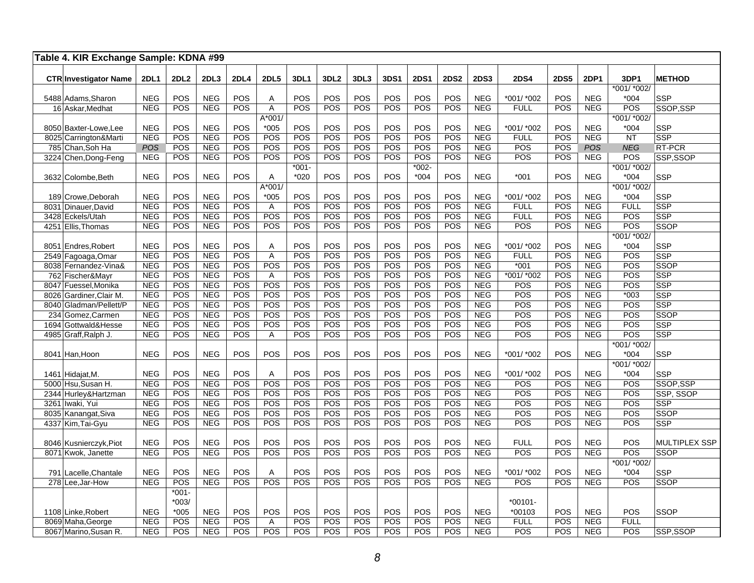|     | Table 4. KIR Exchange Sample: KDNA #99   |                          |             |                          |             |             |                  |                  |            |             |             |             |                          |                   |             |                          |               |                       |
|-----|------------------------------------------|--------------------------|-------------|--------------------------|-------------|-------------|------------------|------------------|------------|-------------|-------------|-------------|--------------------------|-------------------|-------------|--------------------------|---------------|-----------------------|
|     | <b>CTR Investigator Name</b>             | <b>2DL1</b>              | <b>2DL2</b> | 2DL3                     | <b>2DL4</b> | <b>2DL5</b> | 3DL1             | 3DL <sub>2</sub> | 3DL3       | <b>3DS1</b> | <b>2DS1</b> | <b>2DS2</b> | <b>2DS3</b>              | <b>2DS4</b>       | <b>2DS5</b> | 2DP1                     | 3DP1          | <b>METHOD</b>         |
|     |                                          |                          |             |                          |             |             |                  |                  |            |             |             |             |                          |                   |             |                          | *001/ *002/   |                       |
|     | 5488 Adams, Sharon                       | <b>NEG</b>               | POS         | <b>NEG</b>               | <b>POS</b>  | Α           | POS              | POS              | POS        | POS         | POS         | POS         | <b>NEG</b>               | *001/ *002        | POS         | <b>NEG</b>               | $*004$        | <b>SSP</b>            |
|     | 16 Askar, Medhat                         | <b>NEG</b>               | POS         | <b>NEG</b>               | POS         | A           | <b>POS</b>       | POS              | POS        | POS         | POS         | POS         | <b>NEG</b>               | <b>FULL</b>       | POS         | <b>NEG</b>               | POS           | SSOP, SSP             |
|     |                                          |                          |             |                          |             | $A*001/$    |                  |                  |            |             |             |             |                          |                   |             |                          | *001/ *002/   |                       |
|     | 8050 Baxter-Lowe.Lee                     | <b>NEG</b>               | POS         | <b>NEG</b>               | POS         | $*005$      | POS              | POS              | POS        | POS         | POS         | POS         | <b>NEG</b>               | *001/ *002        | POS         | <b>NEG</b>               | $*004$        | <b>SSP</b>            |
|     | 8025 Carrington&Marti                    | <b>NEG</b>               | POS         | <b>NEG</b>               | POS         | POS         | $\overline{POS}$ | POS              | POS        | POS         | POS         | POS         | <b>NEG</b>               | <b>FULL</b>       | POS         | <b>NEG</b>               | <b>NT</b>     | <b>SSP</b>            |
|     | 785 Chan, Soh Ha                         | <b>POS</b>               | POS         | <b>NEG</b>               | POS         | POS         | POS              | POS              | POS        | POS         | POS         | POS         | <b>NEG</b>               | POS               | POS         | <b>POS</b>               | <b>NEG</b>    | RT-PCR                |
|     | 3224 Chen, Dong-Feng                     | <b>NEG</b>               | POS         | <b>NEG</b>               | POS         | POS         | POS              | POS              | POS        | POS         | POS         | POS         | <b>NEG</b>               | POS               | POS         | <b>NEG</b>               | POS           | SSP,SSOP              |
|     |                                          |                          |             |                          |             |             | $*001 -$         |                  |            |             | $*002-$     |             |                          |                   |             |                          | *001/ *002/   |                       |
|     | 3632 Colombe, Beth                       | <b>NEG</b>               | POS         | <b>NEG</b>               | POS         | Α           | $*020$           | POS              | POS        | POS         | $*004$      | POS         | <b>NEG</b>               | $*001$            | POS         | <b>NEG</b>               | $*004$        | SSP                   |
|     |                                          |                          |             |                          |             | A*001/      |                  |                  |            |             |             |             |                          |                   |             |                          | *001/ *002/   |                       |
|     | 189 Crowe, Deborah                       | <b>NEG</b>               | POS         | <b>NEG</b>               | POS         | $*005$      | POS              | POS              | POS        | POS         | POS         | POS         | <b>NEG</b>               | *001/ *002        | POS         | <b>NEG</b>               | $*004$        | SSP                   |
|     | 8031 Dinauer, David                      | <b>NEG</b>               | POS         | <b>NEG</b>               | POS         | A           | POS              | POS              | POS        | POS         | POS         | POS         | <b>NEG</b>               | <b>FULL</b>       | POS         | <b>NEG</b>               | <b>FULL</b>   | <b>SSP</b>            |
|     | 3428 Eckels/Utah                         | <b>NEG</b>               | POS         | <b>NEG</b>               | POS         | POS         | POS              | POS              | POS        | POS         | <b>POS</b>  | <b>POS</b>  | <b>NEG</b>               | <b>FULL</b>       | POS         | <b>NEG</b>               | POS           | <b>SSP</b>            |
|     | 4251 Ellis, Thomas                       | <b>NEG</b>               | POS         | <b>NEG</b>               | POS         | POS         | <b>POS</b>       | POS              | POS        | POS         | POS         | POS         | <b>NEG</b>               | POS               | POS         | <b>NEG</b>               | POS           | <b>SSOP</b>           |
|     |                                          |                          |             |                          |             |             |                  |                  |            |             |             |             |                          |                   |             |                          | *001/ *002/   |                       |
|     | 8051 Endres, Robert                      | <b>NEG</b>               | POS         | <b>NEG</b>               | POS         | Α           | <b>POS</b>       | POS              | POS        | POS         | POS         | POS         | <b>NEG</b>               | *001/ *002        | POS         | <b>NEG</b>               | $*004$        | <b>SSP</b>            |
|     | 2549 Fagoaga, Omar                       | <b>NEG</b>               | POS         | <b>NEG</b>               | POS         | A           | POS              | POS              | POS        | POS         | POS         | POS         | <b>NEG</b>               | <b>FULL</b>       | POS         | <b>NEG</b>               | POS           | <b>SSP</b>            |
|     | 8038 Fernandez-Vina&                     | <b>NEG</b>               | POS         | <b>NEG</b>               | POS         | POS         | POS              | POS              | POS        | POS         | POS         | POS         | NEG                      | $*001$            | POS         | <b>NEG</b>               | POS           | <b>SSOP</b>           |
|     | 762 Fischer&Mayr                         | <b>NEG</b>               | POS         | <b>NEG</b>               | POS         | A           | POS              | POS              | POS        | POS         | POS         | POS         | <b>NEG</b>               | *001/ *002        | POS         | <b>NEG</b>               | POS           | <b>SSP</b>            |
|     | 8047 Fuessel, Monika                     | <b>NEG</b>               | POS         | <b>NEG</b>               | POS         | POS         | POS              | POS              | POS        | POS         | POS         | POS         | NEG                      | POS               | POS         | <b>NEG</b>               | POS           | <b>SSP</b>            |
|     | 8026 Gardiner, Clair M.                  | <b>NEG</b>               | POS         | <b>NEG</b>               | POS         | POS         | POS              | POS              | POS        | POS         | POS         | POS         | <b>NEG</b>               | POS               | POS         | <b>NEG</b>               | $*003$        | <b>SSP</b>            |
|     | 8040 Gladman/Pellett/P                   | <b>NEG</b>               | POS         | <b>NEG</b>               | POS         | POS         | POS              | POS              | POS        | POS         | POS         | POS         | <b>NEG</b>               | POS               | POS         | <b>NEG</b>               | POS           | <b>SSP</b>            |
|     | 234 Gomez, Carmen                        | <b>NEG</b>               | POS         | <b>NEG</b>               | POS         | POS         | POS              | POS              | POS        | POS         | POS         | POS         | <b>NEG</b>               | POS               | POS         | <b>NEG</b>               | POS           | SSOP                  |
|     | 1694 Gottwald&Hesse                      | <b>NEG</b>               | POS         | <b>NEG</b>               | POS         | POS         | POS              | POS              | POS        | POS         | POS         | POS         | <b>NEG</b>               | POS               | POS         | <b>NEG</b>               | POS           | SSP                   |
|     | 4985 Graff, Ralph J.                     | <b>NEG</b>               | POS         | <b>NEG</b>               | POS         | Α           | POS              | POS              | POS        | POS         | POS         | POS         | <b>NEG</b>               | POS               | POS         | <b>NEG</b>               | POS           | <b>SSP</b>            |
|     |                                          |                          |             |                          |             |             |                  |                  |            |             |             |             |                          |                   |             |                          | *001/ *002/   |                       |
|     | 8041 Han, Hoon                           | <b>NEG</b>               | POS         | <b>NEG</b>               | POS         | POS         | POS              | POS              | POS        | POS         | <b>POS</b>  | POS         | <b>NEG</b>               | *001/ *002        | POS         | <b>NEG</b>               | $*004$        | <b>SSP</b>            |
|     |                                          |                          |             |                          |             |             |                  |                  |            |             |             |             |                          |                   |             |                          | *001/ *002/   |                       |
|     | 1461 Hidajat, M.                         | <b>NEG</b>               | POS         | <b>NEG</b><br><b>NEG</b> | POS<br>POS  | Α<br>POS    | POS<br>POS       | POS<br>POS       | POS<br>POS | POS<br>POS  | POS<br>POS  | POS<br>POS  | <b>NEG</b><br><b>NEG</b> | *001/ *002<br>POS | POS<br>POS  | <b>NEG</b><br><b>NEG</b> | $*004$<br>POS | <b>SSP</b>            |
|     | 5000 Hsu, Susan H.                       | <b>NEG</b><br><b>NEG</b> | POS<br>POS  | <b>NEG</b>               | POS         | POS         | POS              | POS              | POS        | POS         | <b>POS</b>  | POS         | <b>NEG</b>               | POS               | POS         | <b>NEG</b>               | POS           | SSOP,SSP<br>SSP, SSOP |
|     | 2344 Hurley&Hartzman                     | <b>NEG</b>               | POS         | <b>NEG</b>               | POS         | POS         | POS              | POS              | POS        | POS         | <b>POS</b>  | POS         | <b>NEG</b>               | POS               | <b>POS</b>  | <b>NEG</b>               | POS           | <b>SSP</b>            |
|     | 3261 Iwaki, Yui                          | <b>NEG</b>               | POS         | <b>NEG</b>               | POS         | POS         | POS              | POS              | POS        | POS         | <b>POS</b>  | POS         | <b>NEG</b>               | POS               | POS         | <b>NEG</b>               | POS           | <b>SSOP</b>           |
|     | 8035 Kanangat, Siva<br>4337 Kim, Tai-Gyu | <b>NEG</b>               | POS         | <b>NEG</b>               | <b>POS</b>  | POS         | POS              | POS              | <b>POS</b> | POS         | <b>POS</b>  | <b>POS</b>  | <b>NEG</b>               | POS               | <b>POS</b>  | <b>NEG</b>               | POS           | <b>SSP</b>            |
|     |                                          |                          |             |                          |             |             |                  |                  |            |             |             |             |                          |                   |             |                          |               |                       |
|     | 8046 Kusnierczyk, Piot                   | <b>NEG</b>               | POS         | <b>NEG</b>               | POS         | POS         | <b>POS</b>       | POS              | POS        | POS         | <b>POS</b>  | POS         | <b>NEG</b>               | <b>FULL</b>       | <b>POS</b>  | <b>NEG</b>               | POS           | MULTIPLEX SSP         |
|     | 8071 Kwok, Janette                       | <b>NEG</b>               | POS         | <b>NEG</b>               | POS         | POS         | POS              | POS              | POS        | POS         | POS         | POS         | <b>NEG</b>               | POS               | POS         | <b>NEG</b>               | POS           | <b>SSOP</b>           |
|     |                                          |                          |             |                          |             |             |                  |                  |            |             |             |             |                          |                   |             |                          | *001/ *002/   |                       |
| 791 | Lacelle, Chantale                        | <b>NEG</b>               | POS         | <b>NEG</b>               | POS         | Α           | POS              | POS              | POS        | POS         | POS         | POS         | <b>NEG</b>               | *001/ *002        | POS         | <b>NEG</b>               | $*004$        | SSP                   |
|     | 278 Lee, Jar-How                         | <b>NEG</b>               | POS         | <b>NEG</b>               | POS         | POS         | POS              | POS              | POS        | POS         | POS         | POS         | <b>NEG</b>               | POS               | POS         | <b>NEG</b>               | POS           | <b>SSOP</b>           |
|     |                                          |                          | $*001-$     |                          |             |             |                  |                  |            |             |             |             |                          |                   |             |                          |               |                       |
|     |                                          |                          | $*003/$     |                          |             |             |                  |                  |            |             |             |             |                          | $*00101 -$        |             |                          |               |                       |
|     | 1108 Linke, Robert                       | <b>NEG</b>               | $*005$      | <b>NEG</b>               | POS         | POS         | POS              | POS              | POS        | POS         | <b>POS</b>  | POS         | <b>NEG</b>               | *00103            | POS         | <b>NEG</b>               | POS           | SSOP                  |
|     | 8069 Maha, George                        | <b>NEG</b>               | POS         | <b>NEG</b>               | POS         | Α           | POS              | POS              | POS        | POS         | POS         | POS         | <b>NEG</b>               | <b>FULL</b>       | POS         | <b>NEG</b>               | <b>FULL</b>   |                       |
|     | 8067 Marino, Susan R.                    | <b>NEG</b>               | POS         | <b>NEG</b>               | POS         | POS         | POS              | POS              | POS        | POS         | POS         | POS         | <b>NEG</b>               | POS               | POS         | <b>NEG</b>               | POS           | SSP,SSOP              |
|     |                                          |                          |             |                          |             |             |                  |                  |            |             |             |             |                          |                   |             |                          |               |                       |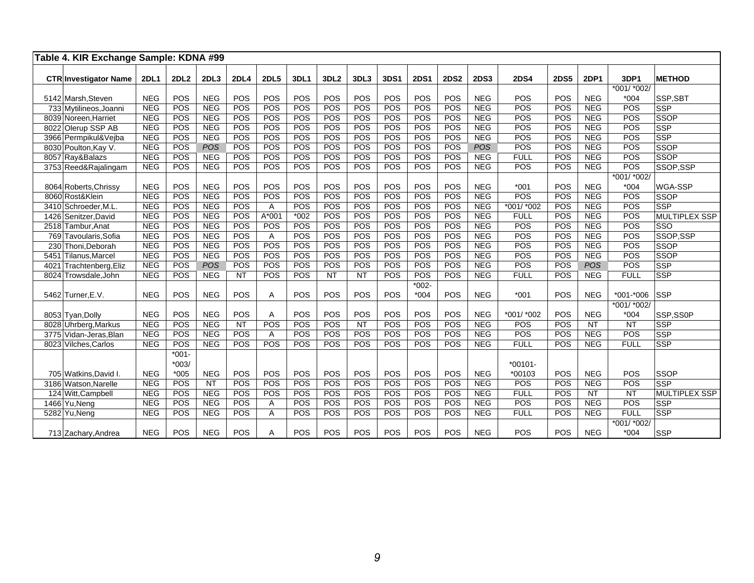|      | Table 4. KIR Exchange Sample: KDNA #99 |             |             |            |             |             |        |                  |           |      |             |             |             |             |             |            |                 |                      |
|------|----------------------------------------|-------------|-------------|------------|-------------|-------------|--------|------------------|-----------|------|-------------|-------------|-------------|-------------|-------------|------------|-----------------|----------------------|
|      | <b>CTR Investigator Name</b>           | <b>2DL1</b> | <b>2DL2</b> | 2DL3       | <b>2DL4</b> | <b>2DL5</b> | 3DL1   | 3DL <sub>2</sub> | 3DL3      | 3DS1 | <b>2DS1</b> | <b>2DS2</b> | <b>2DS3</b> | <b>2DS4</b> | <b>2DS5</b> | 2DP1       | 3DP1            | <b>METHOD</b>        |
|      |                                        |             |             |            |             |             |        |                  |           |      |             |             |             |             |             |            | *001/ *002/     |                      |
|      | 5142 Marsh, Steven                     | <b>NEG</b>  | POS         | <b>NEG</b> | POS         | POS         | POS    | POS              | POS       | POS  | POS         | POS         | <b>NEG</b>  | POS         | POS         | <b>NEG</b> | $*004$          | SSP, SBT             |
|      | 733 Mytilineos, Joanni                 | <b>NEG</b>  | POS         | <b>NEG</b> | POS         | POS         | POS    | POS              | POS       | POS  | POS         | POS         | <b>NEG</b>  | POS         | POS         | <b>NEG</b> | POS             | <b>SSP</b>           |
|      | 8039 Noreen, Harriet                   | <b>NEG</b>  | POS         | <b>NEG</b> | POS         | POS         | POS    | POS              | POS       | POS  | POS         | POS         | <b>NEG</b>  | POS         | POS         | <b>NEG</b> | POS             | <b>SSOP</b>          |
|      | 8022 Olerup SSP AB                     | <b>NEG</b>  | POS         | <b>NEG</b> | POS         | POS         | POS    | POS              | POS       | POS  | POS         | POS         | <b>NEG</b>  | POS         | POS         | <b>NEG</b> | POS             | <b>SSP</b>           |
|      | 3966 Permpikul&Vejba                   | <b>NEG</b>  | POS         | <b>NEG</b> | POS         | POS         | POS    | POS              | POS       | POS  | POS         | POS         | <b>NEG</b>  | POS         | POS         | <b>NEG</b> | POS             | <b>SSP</b>           |
|      | 8030 Poulton, Kay V.                   | <b>NEG</b>  | POS         | POS        | POS         | POS         | POS    | POS              | POS       | POS  | POS         | POS         | POS         | POS         | POS         | <b>NEG</b> | POS             | <b>SSOP</b>          |
|      | 8057 Ray&Balazs                        | <b>NEG</b>  | POS         | <b>NEG</b> | POS         | POS         | POS    | POS              | POS       | POS  | POS         | POS         | <b>NEG</b>  | <b>FULL</b> | POS         | <b>NEG</b> | POS             | <b>SSOP</b>          |
|      | 3753 Reed&Rajalingam                   | <b>NEG</b>  | POS         | <b>NEG</b> | POS         | POS         | POS    | POS              | POS       | POS  | POS         | POS         | <b>NEG</b>  | POS         | POS         | <b>NEG</b> | POS             | SSOP,SSP             |
|      |                                        |             |             |            |             |             |        |                  |           |      |             |             |             |             |             |            | *001/ *002/     |                      |
|      | 8064 Roberts, Chrissy                  | <b>NEG</b>  | POS         | <b>NEG</b> | POS         | POS         | POS    | POS              | POS       | POS  | POS         | POS         | <b>NEG</b>  | $*001$      | POS         | <b>NEG</b> | $*004$          | <b>WGA-SSP</b>       |
|      | 8060 Rost&Klein                        | <b>NEG</b>  | POS         | <b>NEG</b> | POS         | POS         | POS    | POS              | POS       | POS  | POS         | POS         | <b>NEG</b>  | POS         | POS         | <b>NEG</b> | POS             | <b>SSOP</b>          |
|      | 3410 Schroeder, M.L.                   | <b>NEG</b>  | POS         | <b>NEG</b> | POS         | Α           | POS    | POS              | POS       | POS  | POS         | POS         | <b>NEG</b>  | *001/ *002  | POS         | <b>NEG</b> | POS             | <b>SSP</b>           |
|      | 1426 Senitzer, David                   | <b>NEG</b>  | POS         | <b>NEG</b> | POS         | A*001       | $*002$ | POS              | POS       | POS  | POS         | POS         | <b>NEG</b>  | <b>FULL</b> | POS         | <b>NEG</b> | POS             | <b>MULTIPLEX SSP</b> |
|      | 2518 Tambur, Anat                      | <b>NEG</b>  | POS         | <b>NEG</b> | POS         | POS         | POS    | POS              | POS       | POS  | POS         | POS         | <b>NEG</b>  | POS         | POS         | <b>NEG</b> | POS             | <b>SSO</b>           |
|      | 769 Tavoularis, Sofia                  | <b>NEG</b>  | POS         | <b>NEG</b> | <b>POS</b>  | A           | POS    | POS              | POS       | POS  | POS         | POS         | <b>NEG</b>  | POS         | POS         | <b>NEG</b> | POS             | SSOP,SSP             |
|      | 230 Thoni, Deborah                     | <b>NEG</b>  | POS         | <b>NEG</b> | POS         | POS         | POS    | POS              | POS       | POS  | POS         | POS         | <b>NEG</b>  | POS         | POS         | <b>NEG</b> | POS             | <b>SSOP</b>          |
| 5451 | Tilanus, Marcel                        | <b>NEG</b>  | POS         | <b>NEG</b> | POS         | POS         | POS    | POS              | POS       | POS  | POS         | POS         | <b>NEG</b>  | POS         | POS         | <b>NEG</b> | POS             | <b>SSOP</b>          |
| 4021 | Trachtenberg, Eliz                     | <b>NEG</b>  | POS         | POS        | POS         | POS         | POS    | POS              | POS       | POS  | POS         | POS         | <b>NEG</b>  | POS         | POS         | <b>POS</b> | POS             | <b>SSP</b>           |
|      | 8024 Trowsdale.John                    | <b>NEG</b>  | POS         | <b>NEG</b> | NT          | POS         | POS    | $\overline{NT}$  | NT        | POS  | POS         | POS         | <b>NEG</b>  | <b>FULL</b> | POS         | <b>NEG</b> | <b>FULL</b>     | <b>SSP</b>           |
|      |                                        |             |             |            |             |             |        |                  |           |      | $*002 -$    |             |             |             |             |            |                 |                      |
|      | 5462 Turner, E.V.                      | <b>NEG</b>  | POS         | <b>NEG</b> | <b>POS</b>  | A           | POS    | POS              | POS       | POS  | $*004$      | POS         | <b>NEG</b>  | $*001$      | POS         | <b>NEG</b> | $*001 - *006$   | <b>SSP</b>           |
|      |                                        |             |             |            |             |             |        |                  |           |      |             |             |             |             |             |            | $*001/$ $*002/$ |                      |
|      | 8053 Tyan, Dolly                       | <b>NEG</b>  | POS         | <b>NEG</b> | POS         | Α           | POS    | POS              | POS       | POS  | POS         | POS         | <b>NEG</b>  | *001/ *002  | POS         | <b>NEG</b> | $*004$          | SSP,SS0P             |
|      | 8028 Uhrberg, Markus                   | <b>NEG</b>  | POS         | <b>NEG</b> | <b>NT</b>   | POS         | POS    | POS              | <b>NT</b> | POS  | POS         | POS         | <b>NEG</b>  | POS         | POS         | <b>NT</b>  | <b>NT</b>       | <b>SSP</b>           |
|      | 3775 Vidan-Jeras, Blan                 | <b>NEG</b>  | POS         | <b>NEG</b> | POS         | Α           | POS    | POS              | POS       | POS  | POS         | POS         | <b>NEG</b>  | POS         | POS         | <b>NEG</b> | POS             | <b>SSP</b>           |
|      | 8023 Vilches, Carlos                   | <b>NEG</b>  | POS         | <b>NEG</b> | <b>POS</b>  | POS         | POS    | POS              | POS       | POS  | POS         | POS         | <b>NEG</b>  | <b>FULL</b> | POS         | <b>NEG</b> | <b>FULL</b>     | <b>SSP</b>           |
|      |                                        |             | $*001 -$    |            |             |             |        |                  |           |      |             |             |             |             |             |            |                 |                      |
|      |                                        |             | $*003/$     |            |             |             |        |                  |           |      |             |             |             | $*00101 -$  |             |            |                 |                      |
|      | 705 Watkins, David I.                  | <b>NEG</b>  | $*005$      | <b>NEG</b> | POS         | POS         | POS    | POS              | POS       | POS  | POS         | POS         | <b>NEG</b>  | *00103      | POS         | <b>NEG</b> | POS             | <b>SSOP</b>          |
|      | 3186 Watson Narelle                    | <b>NEG</b>  | POS         | NT         | POS         | POS         | POS    | POS              | POS       | POS  | POS         | POS         | <b>NEG</b>  | POS         | POS         | <b>NEG</b> | POS             | <b>SSP</b>           |
|      | 124 Witt, Campbell                     | <b>NEG</b>  | POS         | <b>NEG</b> | POS         | POS         | POS    | POS              | POS       | POS  | POS         | POS         | <b>NEG</b>  | <b>FULL</b> | POS         | <b>NT</b>  | <b>NT</b>       | <b>MULTIPLEX SSP</b> |
|      | 1466 Yu, Neng                          | <b>NEG</b>  | POS         | <b>NEG</b> | POS         | A           | POS    | POS              | POS       | POS  | POS         | POS         | <b>NEG</b>  | POS         | POS         | <b>NEG</b> | POS             | <b>SSP</b>           |
|      | 5282 Yu, Neng                          | <b>NEG</b>  | POS         | <b>NEG</b> | POS         | A           | POS    | POS              | POS       | POS  | POS         | POS         | <b>NEG</b>  | <b>FULL</b> | POS         | <b>NEG</b> | <b>FULL</b>     | <b>SSP</b>           |
|      |                                        |             |             |            |             |             |        |                  |           |      |             |             |             |             |             |            | *001/ *002/     |                      |
|      | 713 Zachary, Andrea                    | <b>NEG</b>  | POS         | <b>NEG</b> | POS         | Α           | POS    | POS              | POS       | POS  | POS         | POS         | <b>NEG</b>  | POS         | POS         | <b>NEG</b> | $*004$          | <b>SSP</b>           |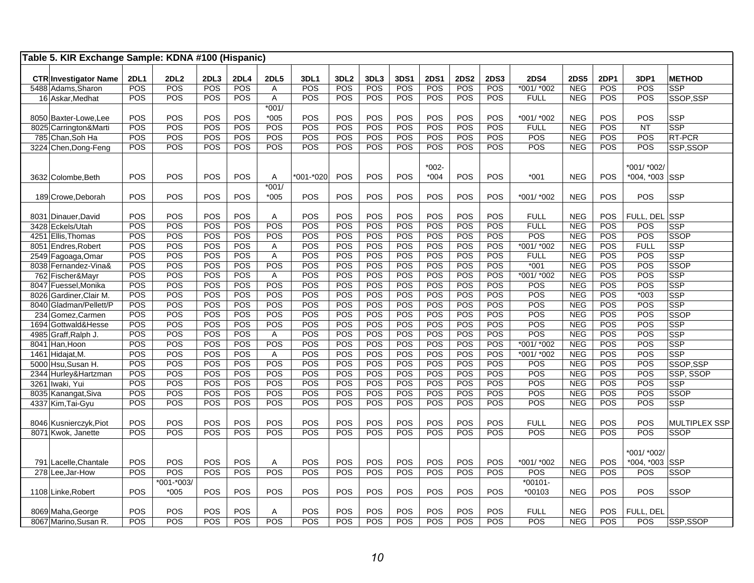| Table 5. KIR Exchange Sample: KDNA #100 (Hispanic) |             |                      |            |             |                |                   |                  |            |             |             |             |             |                    |             |            |                       |                                     |
|----------------------------------------------------|-------------|----------------------|------------|-------------|----------------|-------------------|------------------|------------|-------------|-------------|-------------|-------------|--------------------|-------------|------------|-----------------------|-------------------------------------|
| <b>CTR Investigator Name</b>                       | <b>2DL1</b> | 2DL2                 | 2DL3       | <b>2DL4</b> | <b>2DL5</b>    | 3DL1              | 3DL <sub>2</sub> | 3DL3       | <b>3DS1</b> | <b>2DS1</b> | <b>2DS2</b> | <b>2DS3</b> | <b>2DS4</b>        | <b>2DS5</b> | 2DP1       | 3DP1                  | <b>METHOD</b>                       |
| 5488 Adams, Sharon                                 | POS         | POS                  | POS        | POS         | A              | POS               | POS              | POS        | POS         | POS         | POS         | POS         | *001/ *002         | <b>NEG</b>  | POS        | POS                   | <b>SSP</b>                          |
| 16 Askar, Medhat                                   | POS         | POS                  | POS        | POS         | A              | POS               | POS              | POS        | POS         | POS         | POS         | POS         | <b>FULL</b>        | <b>NEG</b>  | POS        | POS                   | SSOP, SSP                           |
|                                                    |             |                      |            |             | $*001/$        |                   |                  |            |             |             |             |             |                    |             |            |                       |                                     |
| 8050 Baxter-Lowe, Lee                              | POS         | POS                  | POS        | POS         | $*005$         | POS               | POS              | POS        | POS         | POS         | POS         | POS         | *001/ *002         | <b>NEG</b>  | POS        | POS                   | <b>SSP</b>                          |
| 8025 Carrington&Marti                              | POS         | POS                  | POS        | POS         | POS            | POS               | POS              | POS        | POS         | POS         | POS         | POS         | <b>FULL</b>        | <b>NEG</b>  | POS        | <b>NT</b>             | <b>SSP</b>                          |
| 785 Chan, Soh Ha                                   | POS         | POS                  | POS        | POS         | POS            | <b>POS</b>        | POS              | POS        | POS         | POS         | POS         | POS         | POS                | <b>NEG</b>  | POS        | POS                   | RT-PCR                              |
| 3224 Chen, Dong-Feng                               | POS         | POS                  | POS        | POS         | <b>POS</b>     | POS               | POS              | POS        | POS         | POS         | POS         | POS         | POS                | <b>NEG</b>  | POS        | POS                   | SSP,SSOP                            |
|                                                    |             |                      |            |             |                |                   |                  |            |             |             |             |             |                    |             |            |                       |                                     |
|                                                    |             |                      |            |             |                |                   |                  |            |             | $*002-$     |             |             |                    |             |            | *001/ *002/           |                                     |
| 3632 Colombe, Beth                                 | POS         | POS                  | POS        | POS         | A              | *001-*020         | <b>POS</b>       | POS        | POS         | $*004$      | POS         | POS         | $*001$             | <b>NEG</b>  | POS        | *004, *003 SSP        |                                     |
|                                                    |             |                      |            |             | $*001/$        |                   |                  |            |             |             |             |             |                    |             |            |                       |                                     |
| 189 Crowe, Deborah                                 | POS         | POS                  | POS        | POS         | $*005$         | POS               | POS              | POS        | POS         | POS         | POS         | POS         | *001/ *002         | <b>NEG</b>  | POS        | POS                   | <b>SSP</b>                          |
|                                                    |             |                      |            |             |                |                   |                  |            |             |             |             |             |                    |             |            |                       |                                     |
| 8031 Dinauer, David                                | POS         | POS                  | POS        | POS         | Α              | POS               | POS              | POS        | POS         | POS         | POS         | POS         | <b>FULL</b>        | <b>NEG</b>  | <b>POS</b> | FULL, DEL SSP         |                                     |
| 3428 Eckels/Utah                                   | POS         | POS                  | POS        | POS         | POS            | POS               | POS              | POS        | POS         | POS         | POS         | POS         | <b>FULL</b>        | <b>NEG</b>  | POS        | POS                   | <b>SSP</b>                          |
| 4251 Ellis, Thomas                                 | POS         | POS                  | POS        | POS         | POS            | <b>POS</b>        | POS              | POS        | POS         | POS         | POS         | POS         | POS                | <b>NEG</b>  | POS        | POS                   | <b>SSOP</b>                         |
| 8051 Endres, Robert                                | POS         | POS                  | POS        | POS         | A              | POS               | POS              | POS        | POS         | POS         | POS         | POS         | *001/ *002         | <b>NEG</b>  | POS        | <b>FULL</b>           | <b>SSP</b>                          |
| 2549 Fagoaga, Omar                                 | POS         | POS                  | POS        | POS         | A              | POS               | POS              | POS        | POS         | POS         | POS         | POS         | <b>FULL</b>        | <b>NEG</b>  | POS        | POS                   | <b>SSP</b>                          |
| 8038 Fernandez-Vina&                               | POS         | POS                  | POS        | POS         | POS            | POS               | POS              | POS        | POS         | POS         | POS         | POS         | $*001$             | <b>NEG</b>  | POS        | POS                   | <b>SSOP</b>                         |
| 762 Fischer&Mayr                                   | POS         | POS                  | POS        | POS         | A              | POS               | POS              | POS        | POS         | POS         | POS         | POS         | *001/ *002         | <b>NEG</b>  | POS        | POS                   | <b>SSP</b>                          |
| 8047 Fuessel, Monika                               | POS         | POS                  | POS        | POS         | POS            | POS               | POS              | POS        | POS         | POS         | POS         | POS         | POS                | <b>NEG</b>  | POS        | POS                   | <b>SSP</b>                          |
| 8026 Gardiner, Clair M.                            | <b>POS</b>  | POS                  | POS        | POS         | POS            | POS               | POS              | POS        | POS         | POS         | POS         | POS         | POS                | <b>NEG</b>  | POS        | $*003$                | <b>SSP</b>                          |
| 8040 Gladman/Pellett/P                             | <b>POS</b>  | POS                  | POS        | POS         | POS            | POS               | POS              | POS        | POS         | POS         | POS         | POS         | POS                | <b>NEG</b>  | POS        | POS                   | <b>SSP</b>                          |
| 234 Gomez, Carmen                                  | POS         | POS                  | POS        | POS         | POS            | POS               | POS              | POS        | POS         | POS         | POS         | POS         | POS                | <b>NEG</b>  | POS        | POS                   | <b>SSOP</b>                         |
| 1694 Gottwald&Hesse                                | POS         | POS                  | POS        | POS         | POS            | POS               | POS              | POS        | POS         | POS         | POS         | POS         | POS                | <b>NEG</b>  | POS        | POS                   | <b>SSP</b>                          |
| 4985 Graff, Ralph J.                               | POS         | POS                  | POS        | POS         | A              | POS               | POS              | POS        | POS         | POS         | POS         | POS         | POS                | <b>NEG</b>  | POS        | POS                   | <b>SSP</b>                          |
| 8041 Han, Hoon                                     | POS         | POS                  | POS        | POS         | POS            | POS               | POS              | POS        | POS         | POS         | POS         | POS         | *001/ *002         | <b>NEG</b>  | POS        | POS                   | <b>SSP</b>                          |
| 1461 Hidajat, M.                                   | POS         | POS                  | POS        | POS         | $\overline{A}$ | POS               | POS              | POS        | POS         | POS         | POS         | POS         | *001/ *002         | <b>NEG</b>  | POS        | POS                   | <b>SSP</b>                          |
| 5000 Hsu, Susan H.                                 | POS         | POS                  | POS        | POS         | POS            | POS               | POS              | POS        | POS         | POS         | POS         | POS         | POS                | <b>NEG</b>  | POS        | POS                   | SSOP, SSP                           |
| 2344 Hurley&Hartzman                               | POS         | POS                  | POS        | POS         | POS            | POS               | POS              | POS        | POS         | POS         | POS         | POS         | POS                | <b>NEG</b>  | POS        | POS                   | SSP, SSOP                           |
| 3261 Iwaki, Yui                                    | POS         | POS                  | POS        | POS         | POS            | POS               | POS              | POS        | POS         | POS         | POS         | POS         | POS                | <b>NEG</b>  | POS        | POS                   | <b>SSP</b>                          |
| 8035 Kanangat, Siva                                | POS         | POS                  | POS        | POS         | POS            | <b>POS</b>        | POS              | POS        | POS         | POS         | POS         | POS         | POS                | <b>NEG</b>  | POS        | POS                   | <b>SSOP</b>                         |
| 4337 Kim, Tai-Gyu                                  | POS         | POS                  | POS        | POS         | <b>POS</b>     | POS               | POS              | POS        | POS         | POS         | POS         | POS         | POS                | <b>NEG</b>  | POS        | POS                   | <b>SSP</b>                          |
|                                                    |             |                      |            |             |                |                   |                  |            |             |             |             |             |                    |             |            |                       |                                     |
| 8046 Kusnierczyk, Piot                             | POS<br>POS  | POS<br>POS           | POS<br>POS | POS<br>POS  | POS<br>POS     | POS<br><b>POS</b> | POS<br>POS       | POS<br>POS | POS         | POS<br>POS  | POS<br>POS  | POS<br>POS  | <b>FULL</b><br>POS | <b>NEG</b>  | POS<br>POS | POS<br>POS            | <b>MULTIPLEX SSP</b><br><b>SSOP</b> |
| 8071 Kwok, Janette                                 |             |                      |            |             |                |                   |                  |            | POS         |             |             |             |                    | <b>NEG</b>  |            |                       |                                     |
|                                                    |             |                      |            |             |                |                   |                  |            |             |             |             |             |                    |             |            |                       |                                     |
|                                                    | POS         | POS                  | POS        | POS         |                | POS               | POS              | POS        | POS         | POS         | POS         | POS         | *001/ *002         | <b>NEG</b>  | POS        | *001/ *002/           |                                     |
| 791 Lacelle, Chantale                              | POS         | POS                  | POS        | POS         | A<br>POS       | POS               | POS              | POS        | POS         | POS         | POS         | POS         | POS                | <b>NEG</b>  | POS        | *004, *003 SSP<br>POS | <b>SSOP</b>                         |
| 278 Lee, Jar-How                                   |             |                      |            |             |                |                   |                  |            |             |             |             |             |                    |             |            |                       |                                     |
|                                                    | POS         | *001-*003/<br>$*005$ | POS        | POS         | <b>POS</b>     | <b>POS</b>        | POS              | POS        | POS         | POS         | <b>POS</b>  | POS         | $*00101-$          | <b>NEG</b>  | POS        | POS                   |                                     |
| 1108 Linke, Robert                                 |             |                      |            |             |                |                   |                  |            |             |             |             |             | *00103             |             |            |                       | <b>SSOP</b>                         |
| 8069 Maha, George                                  | POS         | POS                  | POS        | POS         | A              | <b>POS</b>        | POS              | POS        | POS         | POS         | POS         | POS         | <b>FULL</b>        | <b>NEG</b>  | POS        | FULL, DEL             |                                     |
| 8067 Marino, Susan R.                              | POS         | POS                  | POS        | POS         | POS            | POS               | POS              | POS        | POS         | POS         | POS         | POS         | POS                | <b>NEG</b>  | POS        | POS                   | SSP,SSOP                            |
|                                                    |             |                      |            |             |                |                   |                  |            |             |             |             |             |                    |             |            |                       |                                     |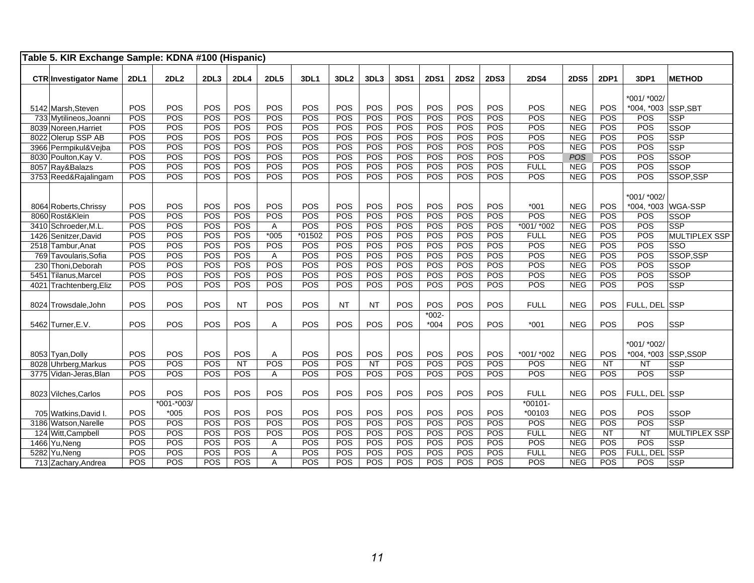|      | Table 5. KIR Exchange Sample: KDNA #100 (Hispanic) |             |                |      |             |                |          |                  |           |      |                    |             |             |             |             |            |                     |                      |
|------|----------------------------------------------------|-------------|----------------|------|-------------|----------------|----------|------------------|-----------|------|--------------------|-------------|-------------|-------------|-------------|------------|---------------------|----------------------|
|      | <b>CTR Investigator Name</b>                       | <b>2DL1</b> | 2DL2           | 2DL3 | <b>2DL4</b> | <b>2DL5</b>    | 3DL1     | 3DL <sub>2</sub> | 3DL3      | 3DS1 | <b>2DS1</b>        | <b>2DS2</b> | <b>2DS3</b> | <b>2DS4</b> | <b>2DS5</b> | 2DP1       | 3DP1                | <b>METHOD</b>        |
|      |                                                    |             |                |      |             |                |          |                  |           |      |                    |             |             |             |             |            | *001/ *002/         |                      |
|      | 5142 Marsh, Steven                                 | POS         | POS            | POS  | POS         | POS            | POS      | POS              | POS       | POS  | POS                | POS         | POS         | POS         | <b>NEG</b>  | POS        | *004, *003 SSP, SBT |                      |
|      | 733 Mytilineos, Joanni                             | POS         | POS            | POS  | POS         | POS            | POS      | POS              | POS       | POS  | POS                | POS         | POS         | POS         | <b>NEG</b>  | POS        | POS                 | SSP                  |
|      | 8039 Noreen, Harriet                               | POS         | POS            | POS  | POS         | POS            | POS      | POS              | POS       | POS  | POS                | POS         | POS         | POS         | <b>NEG</b>  | POS        | POS                 | SSOP                 |
|      | 8022 Olerup SSP AB                                 | POS         | POS            | POS  | POS         | POS            | POS      | POS              | POS       | POS  | POS                | POS         | POS         | POS         | <b>NEG</b>  | POS        | POS                 | <b>SSP</b>           |
|      | 3966 Permpikul&Vejba                               | POS         | POS            | POS  | POS         | POS            | POS      | POS              | POS       | POS  | POS                | POS         | POS         | POS         | <b>NEG</b>  | POS        | POS                 | <b>SSP</b>           |
|      | 8030 Poulton, Kay V.                               | POS         | POS            | POS  | POS         | POS            | POS      | POS              | POS       | POS  | POS                | POS         | POS         | POS         | POS         | POS        | POS                 | <b>SSOP</b>          |
|      | 8057 Ray&Balazs                                    | POS         | POS            | POS  | POS         | POS            | POS      | POS              | POS       | POS  | POS                | POS         | POS         | <b>FULL</b> | <b>NEG</b>  | POS        | POS                 | <b>SSOP</b>          |
|      | 3753 Reed&Rajalingam                               | POS         | <b>POS</b>     | POS  | POS         | <b>POS</b>     | POS      | POS              | POS       | POS  | POS                | <b>POS</b>  | POS         | POS         | NEG         | <b>POS</b> | POS                 | SSOP,SSP             |
|      |                                                    |             |                |      |             |                |          |                  |           |      |                    |             |             |             |             |            | *001/ *002/         |                      |
|      | 8064 Roberts, Chrissy                              | POS         | POS            | POS  | POS         | POS            | POS      | POS              | POS       | POS  | POS                | POS         | POS         | $*001$      | <b>NEG</b>  | POS        |                     | *004, *003 WGA-SSP   |
|      | 8060 Rost&Klein                                    | POS         | POS            | POS  | POS         | POS            | POS      | POS              | POS       | POS  | POS                | POS         | POS         | POS         | <b>NEG</b>  | POS        | POS                 | <b>SSOP</b>          |
|      | 3410 Schroeder, M.L.                               | POS         | POS            | POS  | POS         | A              | POS      | POS              | POS       | POS  | POS                | POS         | POS         | *001/ *002  | <b>NEG</b>  | POS        | POS                 | SSP                  |
|      | 1426 Senitzer, David                               | POS         | POS            | POS  | POS         | $*005$         | $*01502$ | POS              | POS       | POS  | POS                | <b>POS</b>  | POS         | <b>FULL</b> | <b>NEG</b>  | POS        | POS                 | <b>MULTIPLEX SSP</b> |
|      | 2518 Tambur, Anat                                  | POS         | POS            | POS  | POS         | POS            | POS      | POS              | POS       | POS  | POS                | POS         | POS         | POS         | <b>NEG</b>  | POS        | POS                 | SSO                  |
|      | 769 Tavoularis, Sofia                              | POS         | POS            | POS  | POS         | A              | POS      | POS              | POS       | POS  | POS                | POS         | POS         | POS         | <b>NEG</b>  | POS        | POS                 | SSOP,SSP             |
|      | 230 Thoni, Deborah                                 | POS         | POS            | POS  | POS         | POS            | POS      | POS              | POS       | POS  | POS                | POS         | POS         | POS         | <b>NEG</b>  | POS        | POS                 | <b>SSOP</b>          |
|      | 5451 Tilanus, Marcel                               | POS         | POS            | POS  | POS         | POS            | POS      | POS              | POS       | POS  | POS                | POS         | POS         | POS         | <b>NEG</b>  | POS        | POS                 | SSOP                 |
| 4021 | Trachtenberg, Eliz                                 | <b>POS</b>  | POS            | POS  | POS         | POS            | POS      | POS              | POS       | POS  | <b>POS</b>         | POS         | POS         | POS         | <b>NEG</b>  | POS        | POS                 | <b>SSP</b>           |
|      | 8024 Trowsdale.John                                | POS         | <b>POS</b>     | POS  | <b>NT</b>   | POS            | POS      | <b>NT</b>        | <b>NT</b> | POS  | POS                | POS         | POS         | <b>FULL</b> | <b>NEG</b>  | POS        | FULL, DEL SSP       |                      |
|      | 5462 Turner, E.V.                                  | POS         | <b>POS</b>     | POS  | POS         | A              | POS      | POS              | POS       | POS  | $*002 -$<br>$*004$ | POS         | POS         | $*001$      | <b>NEG</b>  | POS        | POS                 | <b>SSP</b>           |
|      |                                                    |             |                |      |             |                |          |                  |           |      |                    |             |             |             |             |            | *001/ *002/         |                      |
|      | 8053 Tyan, Dolly                                   | POS         | POS            | POS  | POS         | Α              | POS      | POS              | POS       | POS  | POS                | POS         | POS         | *001/ *002  | <b>NEG</b>  | POS        |                     | *004, *003 SSP, SS0P |
|      | 8028 Uhrberg, Markus                               | POS         | POS            | POS  | NT          | POS            | POS      | POS              | NT        | POS  | POS                | POS         | POS         | POS         | <b>NEG</b>  | <b>NT</b>  | $\overline{NT}$     | <b>SSP</b>           |
|      | 3775 Vidan-Jeras, Blan                             | POS         | POS            | POS  | POS         | Α              | POS      | POS              | POS       | POS  | POS                | POS         | POS         | POS         | <b>NEG</b>  | POS        | POS                 | <b>SSP</b>           |
|      | 8023 Vilches.Carlos                                | POS         | POS            | POS  | POS         | POS            | POS      | POS              | POS       | POS  | POS                | POS         | POS         | <b>FULL</b> | <b>NEG</b>  | <b>POS</b> | FULL, DEL SSP       |                      |
|      |                                                    |             | $*001 - *003/$ |      |             |                |          |                  |           |      |                    |             |             | $*00101 -$  |             |            |                     |                      |
|      | 705 Watkins, David I.                              | POS         | $*005$         | POS  | POS         | POS            | POS      | POS              | POS       | POS  | POS                | POS         | POS         | *00103      | <b>NEG</b>  | POS        | POS                 | <b>SSOP</b>          |
|      | 3186 Watson, Narelle                               | POS         | POS            | POS  | POS         | POS            | POS      | POS              | POS       | POS  | POS                | POS         | POS         | POS         | <b>NEG</b>  | POS        | POS                 | <b>SSP</b>           |
|      | 124 Witt, Campbell                                 | POS         | POS            | POS  | POS         | POS            | POS      | POS              | POS       | POS  | POS                | POS         | POS         | <b>FULL</b> | <b>NEG</b>  | NT         | $\overline{NT}$     | <b>MULTIPLEX SSP</b> |
|      | 1466 Yu, Neng                                      | POS         | POS            | POS  | POS         | A              | POS      | POS              | POS       | POS  | POS                | POS         | POS         | POS         | <b>NEG</b>  | POS        | POS                 | <b>SSP</b>           |
|      | 5282 Yu, Neng                                      | POS         | POS            | POS  | POS         | A              | POS      | POS              | POS       | POS  | POS                | POS         | POS         | <b>FULL</b> | <b>NEG</b>  | POS        | FULL, DEI           | <b>SSP</b>           |
|      | 713 Zachary, Andrea                                | POS         | POS            | POS  | POS         | $\overline{A}$ | POS      | POS              | POS       | POS  | POS                | POS         | POS         | POS         | <b>NEG</b>  | POS        | POS                 | SSP                  |